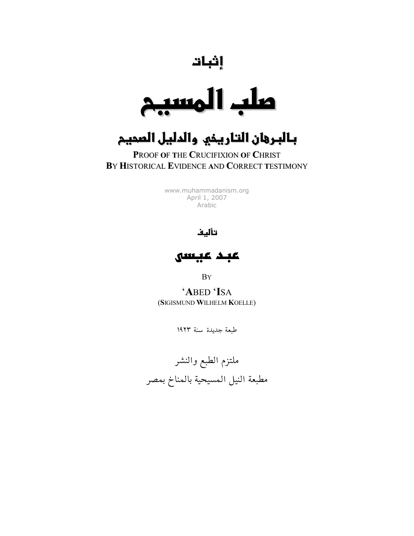إ<sup>نبات</sup><br>ملب المسر  $\lambda$ 

## بالبرهان التاريخي والدليل الصحيم

### PROOF OF THE CRUCIFIXION OF CHRIST BY HISTORICAL EVIDENCE AND CORRECT TESTIMONY

www.muhammadanism.org April 1, 2007 Arabic

#### تأليف

عبد عبسه

**BY** 

'ABED 'ISA (SIGISMUND WILHELM KOELLE)

طبعة جديدة سنة ١٩٢٣

ملتزم الطبع والنشر مطبعة النيل المسيحية بالمناخ بمصر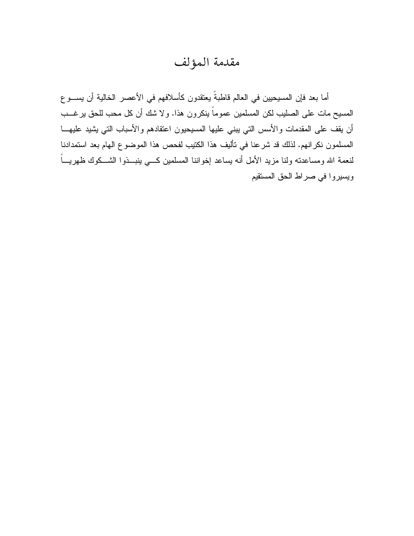## مقدمة المؤلف

أما بعد فإن المسيحيين في العالم قاطبةً يعتقدون كأسلافهم في الأعصر الخالية أن يســـو ع المسيح مات على الصليب لكن المسلمين عموماً ينكرون هذا. ولا شك أن كل محب للحق يرغـــب أن يقف على المقدمات والأسس التي يبنى عليها المسيحيون اعتقادهم والأسباب التي يشيد عليهـــا المسلمون نكرانهم. لذلك قد شرعنا في تأليف هذا الكتيب لفحص هذا الموضوع الـهام بعد استمدادنا لنعمة الله ومساعدته ولنا مزيد الأمل أنه يساعد إخواننا المسلمين كسى ينبـــذوا الشـــكوك ظهريــــأ ويسيروا في صراط الحق المستقيم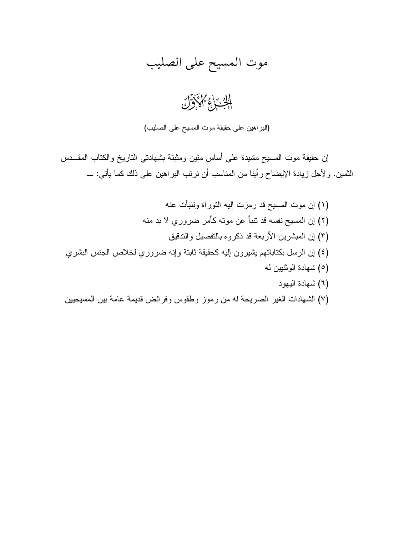## موت المسيح على الصليب

الدين وفي مالحكوَّان

(البراهين على حقيقة موت المسيح على الصليب)

إن حقيقة موت المسيح مشيدة على أساس منين ومثبتة بشهادتي الناريخ والكتاب المقـــدس النَّمين. ولأجل زيادة الإيضاح رأينا من المناسب أن نرتب البراهين على ذلك كما يأتي: ــــ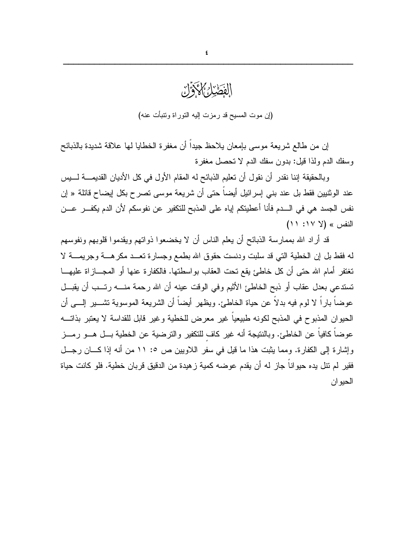# الفَطَيْدُكُمْ كَاذَوَّلْ (إن موت المسيح قد رمزت إليه التوراة ونتبأت عنه)

إن من طالع شريعة موسى بإمعان بلاحظ جيدا أن مغفرة الخطايا لـها علاقة شديدة بالذبائح وسفك الدم ولذا قيل: بدون سفك الدم لا تحصل مغفرة

وبالحقيقة إننا نقدر أن نقول أن تعليم الذبائح له المقام الأول في كل الأديان القديمـــة لــــبس عند الوثنيين فقط بل عند بني إسرائيل أيضاً حتى أن شريعة موسى تصرح بكل إيضاح قائلة « إن نفس الجسد هي في الـــدم فأنا أعطيتكم إياه على المذبح للتكفير عن نفوسكم لأن الدم يكفـــر عـــن  $(11:1Y)$  النفس » (لا

قد أراد الله بممارسة الذبائح أن يعلم الناس أن لا يخضعوا ذواتهم ويقدموا قلوبهم ونفوسهم له فقط بل إن الخطية التي قد سلبت ودنست حقوق الله بطمع وجسارة نعــد مكر هـــة وجريمـــة لا تغتفر أمام الله حتى أن كل خاطئ يقع تحت العقاب بواسطتها. فالكفارة عنها أو المجـــازاة عليهـــا تستدعى بعدل عقاب أو ذبح الخاطئ الأثيم وفي الوقت عينه أن الله رحمة منــــه رتـــب أن يقبـــل عوضاً باراً لا لوم فيه بدلاً عن حياة الخاطئ. ويظهر أيضاً أن الشريعة الموسوية تشــــير الِــــي أن الحيوان المذبوح في المذبح لكونه طبيعياً غير معرض للخطية وغير قابل للقداسة لا يعتبر بذاتـــه عوضاً كافياً عن الخاطئ. وبالنتيجة أنه غير كاف للتكفير والترضية عن الخطية بـــل هـــو رمـــز و إشار ة إلى الكفار ة. ومما يثبت هذا ما قبل في سفر اللاوبين ص ٥: ١١ من أنه إذا كـــان رجـــل فقير لم نتل يده حيواناً جاز له أن يقدم عوضه كمية زهيدة من الدقيق قربان خطية. فلو كانت حياة الحيوان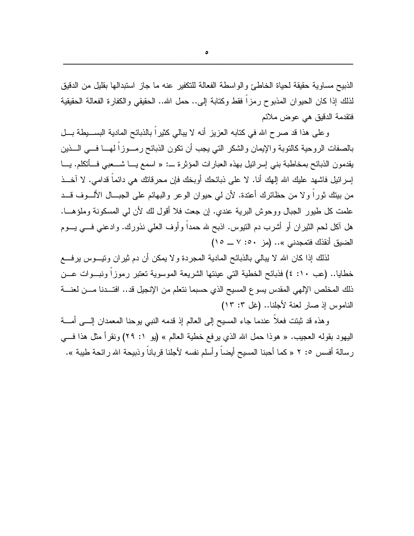الذبيح مساوية حقيقة لحياة الخاطئ والواسطة الفعالة للتكفير عنه ما جاز استبدالها بقليل من الدقيق لذلك إذا كان الحيوان المذبوح رمزا فقط وكتابة إلى.. حمل الله.. الحقيقي والكفارة الفعالة الحقيقية فتقدمة الدقيق هي عوض ملائم

وعلى هذا قد صرح الله في كتابه العزيز أنه لا يبالي كثيراً بالذبائح المادية البســبطة بـــل بالصفات الروحية كالنوبة والإيمان والشكر التي يجب أن نكون الذبائح رمــوزاً لمهــا فـــي الـــذين يقدمون الذبائح بمخاطبة بني إسرائيل بهذه العبارات المؤثرة ـــ: « اسمع يـــا شـــعبـى فـــأتكلم. يـــا إسرائيل فاشهد عليك الله إلهك أنا. لا على ذبائحك أوبخك فإن محرفاتك هي دائماً قدامي. لا آخــذ من بينك ثورًا ولا من حظائرِك أعتدة. لأن لي حيوان الوعر والبهائم على الجبــال الألـــوف قـــد علمت كل طيور الجبال ووحوش البرية عندي. إن جعت فلا أقول لك لأن لي المسكونة وملؤهـــا. هل أكل لحم الثيران أو أشرب دم النيوس. اذبح لله حمداً وأوف العلمي نذورك. وادعنبي فــــي يــــوم الضيق أنقذك فتمجدني ».. (مز 0۰: ٧ ــ ١٥)

لذلك إذا كان الله لا يبالـي بالذبائح المادية المجردة و لا يمكن أن دم ثيران ونيــــوس برفــــع خطايا.. (عب ١٠: ٤) فذبائح الخطية التي عينتها الشريعة الموسوية تعتبر رموزًا ونبــوات عـــن ذلك المخلص الإلهي المقدس يسوع المسيح الذي حسبما نتعلم من الإنجيل قد.. افتـــدنا مـــن لعنــــة الناموس إذ صار لعنة لأجلنا.. (غل ٢: ١٣)

وهذه قد ثبتت فعلاً عندما جاء المسيح إلى العالم إذ قدمه النبي يوحنا المعمدان إلـــي أمــــة اليهود بقوله العجيب. « هوذا حمل الله الذي يرفع خطية العالم » (يو ١: ٢٩) ونقرأ مثل هذا فسي رسالة أفسس 0: ٢ « كما أحبنا المسيح أيضاً وأسلم نفسه لأجلنا قرباناً وذبيحة الله رائحة طيبة ».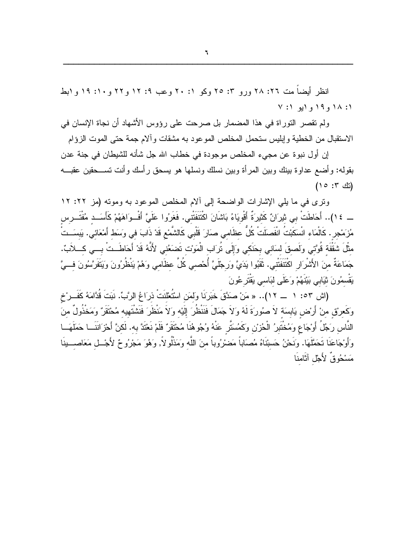$\mathbf{I}$ 

انظر أيضاً مت ٢٦: ٢٨ ورو ٣: ٢٥ وكو ١: ٢٠ وعب ١: ١٢ و٢٢ و١٠: ١٩ وابط  $V:1$  و 19 و (بو 1: ٧

ولم تقصر النوراة في هذا المضمار بل صرحت على رؤوس الأشهاد أن نجاة الإنسان في الاستقبال من الخطية وإبليس ستحمل المخلص الموعود به مشقات وألام جمة حتى الموت الزؤام

إن أول نبوة عن مجيء المخلص موجودة في خطاب الله جل شأنه للشيطان في جنة عدن بقوله: وأضع عداوة ببنك وبين المرأة وبين نسلك ونسلها هو يسحق رأسك وأنت تســحقين عقبـــه  $(10:7: d)$ 

ونرى في ما يلي الإشارات الواضحة إلى ألام المخلص الموعود به ومونه (مز ٢٢: ١٢ \_ ١٤).. أَحَاطَتْ بي ثيرَانٌ كَثيرَةٌ أَقْوِيَاءُ بَاشَانَ اكْتَنَفَتْني. فَغَرُوا عَلَيَّ أَفْسوَاهَهُمْ كَأَسَــد مُفْتَــرس مُزَمْجِرٍ . كَالْمَاء انْسَكَبْتُ انْفَصلَتْ كُلُّ عظَامي صَارَ قَلْبي كَالشَّمْعِ قَدْ ذَابَ في وسَط أَمْعَائي يبسَــتْ مِثْلَ شَقْفَةٍ قُوَّتِي وَلَصِقَ لِسَانِي بِحَنَكِي وَإِلَى تُرَاب الْمَوْت تَضَعُني لأَنَّهُ قَدْ أَحَاطَــتْ بـــى كـــلأبٌ. جَمَاعَةٌ منَ الأَشْرَارِ اكْتَنَفَتْني. ثَقَبُوا يَدَيَّ وَرجْلَيَّ أُحْصىي كُلّ عظَامي وَهُمْ يَنْظُرُونَ وَيَتَفَرَّسُونَ فـــيَّ بَقْسمُونَ نَيْبَابِي بَيْنَهُمْ وَعَلَى لَبَاسِي بَقْتُر عُونَ

(اش ٥٣: ١ \_ ١١).. « مَنْ صَدَّقَ خَبَرَنَا وَلَمَن اسْتُطْنَتْ ذرَاعُ الرَّبِّ. نَبَتَ قُدَّامَهُ كَفَــرْخ وَكَعرْقٍ منْ أَرْضٍ يَابِسَةٌ لاَ صُورَةَ لَهُ وَلاَ جَمَالَ فَنَنْظُرَ إِلَيْهِ وَلاَ مَنْظَرَ فَنَشْتَهيه مُحْتَقَنٌ وَمَخْذُولٌ منَ النَّاس رَجُلُ أَوْجَاعٍ وَمُخْتَبِرُ الْحُزْنِ وَكَمُسَتَّر عَنْهُ وُجُوهُنَا مُحْتَقَرٌ فَلَمْ نَعْتَدَّ به. لَكنَّ أَحْزَاننَـــا حَمَلَهَـــا وَأَوْجَاعَنَا تَحَمَّلَهَا. وَنَحْنُ حَسِبْنَاهُ مُصَاباً مَضْرُوباً مِنَ اللّهِ وَمَذْلُولاً, وَهُوَ مَجْرُوحٌ لأَجْــل مَعَاصـــبِنَا مَسْحُوقٌ لأَجْلِ آثَامنَا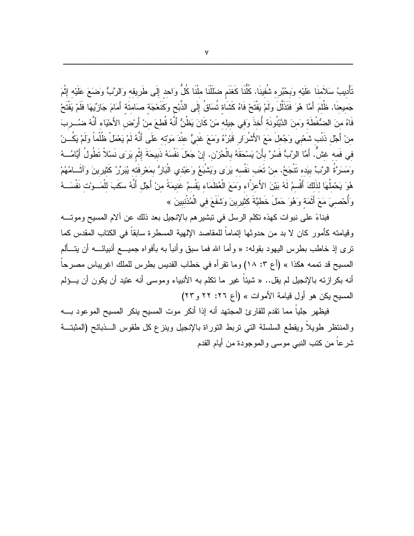تَأْديبُ سَلاَمنَا عَلَيْه وَبِحُبُره شُفينَا. كُلُّنَا كَغَنَم ضلَلْنَا ملْنَا كُلُّ وَاحد إِلَى طَرِيقه وَالرَّبُّ وَضَعَ عَلَيْهِ إِثْمَ جَميعنَا. ظُلُمَ أَمَّا هُوَ فَتَذَلَّلَ ولَمْ يَفْتَحْ فَاهُ كَشَاة تُسَاقُ إِلَى الذَّبْحِ وَكَنَعْجَة صَامتَة أَمَامَ جَازِيِّهَا فَلَمْ يَفْتَحْ فَاهُ منَ الضُّغْطَة وَمنَ الدَّيْنُونَة أُخذَ وَفي جيله مَنْ كَانَ يَظُنُّ أَنَّهُ قُطعَ منْ أَرْض الأَحْيَاء أنَّهُ ضُـــربَ منْ أَجْل ذَنْب شَعْبي وَجُعلَ مَعَ الأَشْرَارِ قَبْرُهُ وَمَعَ غَنيٍّ عنْدَ مَوْته عَلَى أَنَّهُ لَمْ يَعْملْ ظُلْماً ولَمْ يَكُـــنْ في فَمه غشٌ. أَمَّا الرَّبُّ فَسُرَّ بأَنْ يَسْحَقَهُ بِالْحُرْنِ. إنْ جَعَلَ نَفْسَهُ ذَبيحَةَ إِثْم يَرَى نَسْلاً نَطُولُ أَيَّامُــهُ وَمَسَرَّةُ الرَّبِّ بِيَده نَتْجَحُ. منْ نَعَب نَفْسه بَرَى وَيَشْبَعُ وَعَبْدي الْبَارُ بِمَعْرِفَته يُبَرِّرُ كَثيرينَ وَآثَــامُهُمْ هُوَ يَحْمِلُهَا لذَلكَ أَقْسمُ لَهُ بَيْنَ الأَعزّاء وَمَعَ الْعُظَمَاء يَقْسمُ غَنيمَةً منْ أَجْل أَنَّهُ سكَبَ للْمَــوْت نَفْسَــهُ وَأُحْصِيَ مَعَ أَثْمَة وَهُوَ حَمَلَ خَطَيَّةَ كَثَيْرِينَ وَشَفَعَ في الْمُذْنِبِينَ »

فبناءً على نبوات كهذه تكلَّم الرسل في تبشير هم بالإنجيل بعد ذلك عن آلام المسيح وموتـــه وقيامته كأمور كان لا بد من حدوثها إتماماً للمقاصد الإلهية المسطرة سابقاً في الكتاب المقدس كما نرى إذ خاطب بطرس اليهود بقوله: « وأما الله فما سبق وأنبأ به بأفواه جميـــع أنبيائــــه أن يتـــألم المسيح قد تممه هكذا » (أع ٣: ١٨) وما نقرٍ أه في خطاب القديس بطرس للملك اغريباس مصرحاً أنه بكرازته بالإنجيل لم يقل.. « شيئاً غير ما نكلم به الأنبياء وموسى أنه عتيد أن يكون أن يــؤلم المسيح يكن هو أول قيامة الأموات » (أع ٢٦: ٢٢ و ٢٣)

فيظهر جلياً مما نقدم للقارئ المجتهد أنه إذا أنكر موت المسيح ينكر المسيح الموعود بــــه والمنتظر طويلاً ويقطع السلسلة التبي نربط النوراة بالإنجيل وينزع كل طقوس السذبائح (المثبتة شرعا من كتب النبي موسى والموجودة من أيام القدم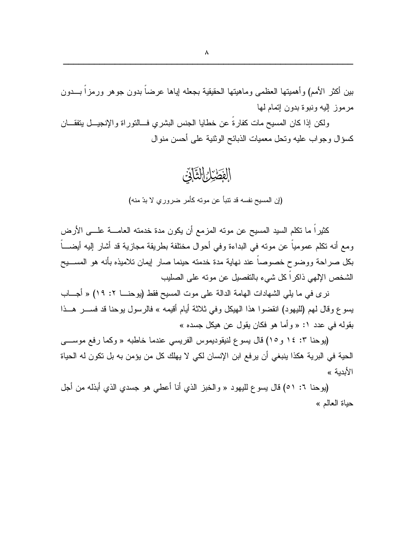بين أكثر الأمم) وأهميتها العظمى وماهيتها الحقيقية بجعله إياها عرضاً بدون جوهر ورمزاً بـــدون مرموز إليه ونبوة بدون إنمام لمها

ولكن إذا كان المسيح مات كفار ة عن خطايا الجنس البشر ى فسالتور اة والإنجيسل بتفقـــان كسؤال وجواب عليه ونحل معميات الذبائح الوثنية على أحسن منوال

الفَطَيْلُ التَّآتَى

(إن المسيح نفسه قد نتبأ عن مونه كأمر ضروري لا بدّ منه)

كثيراً ما تكلَّم السيد المسيح عن موته المزمع أن يكون مدة خدمته العامــــة علــــى الأرض ومع أنه تكلَّم عمومياً عن موته في البداءة وفي أحوال مختلفة بطريقة مجازية قد أشار إليه أيضــــاً بكل صراحة ووضوح خصوصاً عند نهاية مدة خدمته حينما صار إيمان تلاميذه بأنه هو المســـيح الشخص الإلهي ذاكراً كل شيء بالنفصيل عن مونه على الصليب

نري في ما يلي الشهادات الهامة الدالة علي موت المسيح فقط (يوحنـــا ٢: ١٩) « أجـــاب يسوع وقال لهم (لليهود) انقضوا هذا الهيكل وفي ثلاثة أيام أقيمه » فالرسول يوحنا قد فســـر هـــذا بقوله في عدد ١: « وأما هو فكان يقول عن هيكل جسده »

(يوحنا ٣: ١٤ و١٥) قال يسوع لنيقوديموس الفريسي عندما خاطبه « وكما رفع موســـي الحية في البرية هكذا ينبغي أن يرفع ابن الإنسان لكي لا يهلك كل من يؤمن به بل تكون له الحياة الأبدية »

(يوحنا ٦: ٥١) قال يسوع لليهود « والخبز الذي أنا أعطى هو جسدي الذي أبذله من أجل حياة العالم »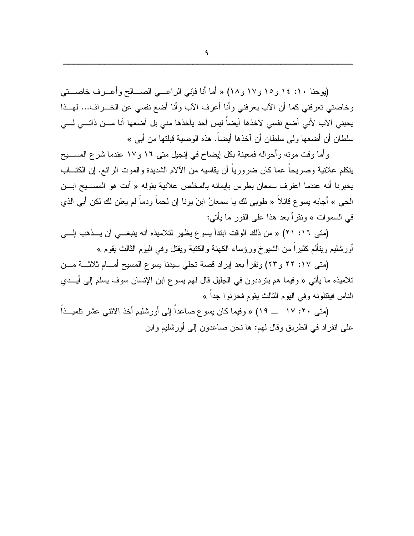(يوحنا ١٠: ١٤ و١٥ و١٧ و ١٨) « أما أنا فإني الراعبي الصـــالح وأعــرف خاصــتي وخاصتي تعرفني كما أن الآب يعرفني وأنا أعرف الآب وأنا أضع نفسي عن الخـــراف... لهـــذا يحبني الآب لأني أضع نفسي لآخذها أيضاً ليس أحد يأخذها مني بل أضعها أنا مـــن ذاتـــي لـــي سلطان أن أضعها ولي سلطان أن آخذها أيضاً. هذه الوصية قبلتها من أبي »

وأما وقت مونَّه وأحواله فمعينة بكل إيضاح في إنجيل متى ١٦ و١٧ عندما شرع المســـبح يتكلَّم علانية وصريحاً عما كان ضرورياً أن يقاسيه من الآلام الشديدة والموت الرائع. إن الكتـــاب يخبرنا أنه عندما اعترف سمعان بطرس بإيمانه بالمخلص علانية بقوله « أنت هو المســـيح ابـــن الحيي » أجابه بسوع قائلاً « طوبي لك يا سمعانُ ابنَ يونا إن لحماً ودماً لم يعلن لك لكن أبي الذي في السموات » ونقرأ بعد هذا على الفور ما يأتي:

(متى ١٦: ٢١) « من ذلك الوقت ابتدأ يسوع يظهر لتلاميذه أنه ينبغه أن يـــذهب إلــــى أورشليم ويتألم كثيراً من الشيوخ ورؤساء الكهنة والكتبة ويقتل وفي اليوم الثالث يقوم »

(متى ١٧: ٢٢ و٢٣) ونقرأ بعد إيراد قصة تجلَّى سيدنا يسوع المسيح أمـــام ثلاثـــة مـــن تلاميذه ما يأتي « وفيما هم يترددون في الجليل قال لهم يسوع ابن الإنسان سوف يسلم إلى أيــدي الناس فيقتلونه وفي اليوم الثالث يقوم فحزنوا جداً »

(متى ٢٠: ١٧ ــ ١٩) « وفيما كان يسوع صاعداً إلى أورشليم أخذ الاثنى عشر نلميــذاً علمي انفراد في الطريق وقال لمهم: ها نحن صاعدون إلى أورشليم وابن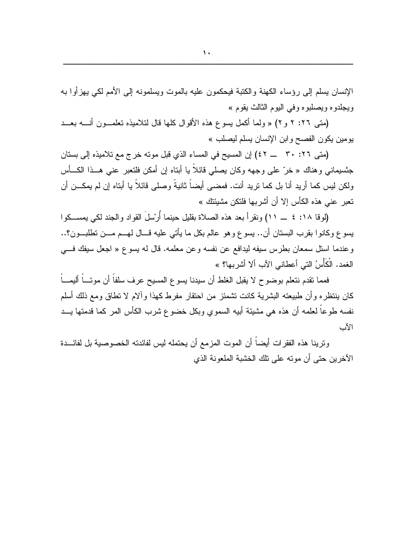الإنسان يسلم إلىي رؤساء الكهنة والكتبة فيحكمون عليه بالموت ويسلمونه إلىي الأمم لكي يهزأوا به ويجلدوه ويصلبوه وفي اليوم الثالث بقوم »

(متى ٢٦: ٢ و ٢) « ولما أكمل يسوع هذه الأقوال كلها قال لتلاميذه تعلمـون أنــــه بعــد بومين يكون الفصح وابن الإنسان يسلم ليصلب »

(متى ٢٦: ٣٠ - ٤٢) إن المسيح في المساء الذي قبل موته خرج مع تلاميذه إلى بستان جنسيماني وهناك « خرّ على وجهه وكان يصلّي قائلاً يا أبناه إن أمكن فلنعبر عني هــذا الكـــأس ولكن ليس كما أريد أنا بل كما نريد أنت. فمضبي أيضاً ثانيةً وصلبي قائلاً يا أبتاه إن لم يمكـــن أن تعبر عني هذه الكأس إلا أن أشربها فلتكن مشيئتك »

(لو قا ١٨: ٤ \_\_ ١١) ونقر أ بعد هذه الصلاة بقليل حينما أُرِّسلَ القواد والجند لكي يمســكو ا يسوع وكانوا بقرب البستان أن.. يسوع وهو عالم بكل ما يأتي عليه قـــال لهـــم مـــن نطلبـــون؟.. وعندما استل سمعان بطرس سيفه ليدافع عن نفسه وعن معلمه. قال له يسوع « اجعل سيفك في الغمد. الْكَأْسُ التي أعطاني الآب ألا أشر بـها؟ »

فمما نقدم نتعلم بوضوح لا يقبل الغلط أن سيدنا يسوع المسيح عرف سلفاً أن موتـــاً أليمـــاً كان ينتظره وأن طبيعته البشرية كانت نشمئز من احتقار مفرط كهذا وألام لا نطاق ومع ذلك أسلم نفسه طوعاً لعلمه أن هذه هي مشيئة أبيه السموي وبكل خضوع شرب الكأس المر كما قدمتها يـــد الأب

وترينا هذه الفقرات أيضاً أن الموت المزمع أن يحتمله ليس لفائدته الخصوصية بل لفائـــدة الآخر بن حتى أن موته على تلك الخشبة الملعونة الذي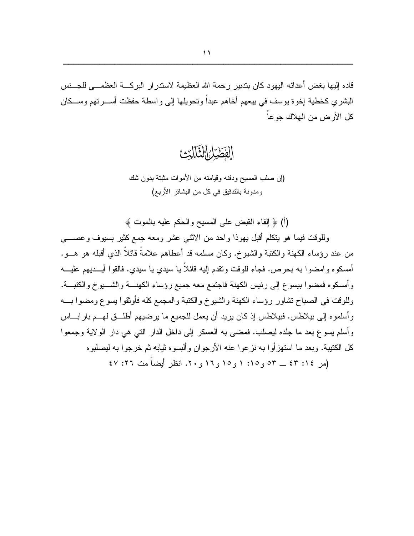قاده إليها بغض أعدائه اليهود كان بتدبير رحمة الله العظيمة لاستدر ار البركسة العظمـــي للجـــنس البشري كخطية إخوة بوسف في بيعهم أخاهم عبدا ونحويلها إلىي واسطة حفظت أســــرتهم وســـكان كل الأرض من الهلاك جو عاً

الفَصْرُ التَّالِّيْ

(إن صلب المسيح ودفنه وقيامته من الأموات مثبتة بدون شك ومدونة بالتدقيق في كل من البشائر الأربع)

(أ) ﴿ إِلَّـفَاءِ الْقَبْضِ عَلَـى الْمَسْيَحِ وَالْـحَكَمِ عَلَيْهِ بِالْمَوْتَ ﴾

وللوقت فيما هو يتكلَّم أقبل يهوذا واحد من الاثنبي عشر ومعه جمع كثير بسيوف وعصبي من عند رؤساء الكهنة والكتبة والشيوخ. وكان مسلمه قد أعطاهم علامةً قائلاً الذي أقبله هو هــو . أمسكوه وامضوا به بحرص. فجاء للوقت ونقدم إليه قائلاً يا سيدي يا سيدي. فالقوا أيـــديهم عليـــه و أمسكوه فمضوا بيسوع إلى رئيس الكهنة فاجتمع معه جميع رؤساء الكهنسة والشسيوخ والكتبــة. وللوقت في الصباح نشاور رؤساء الكهنة والشيوخ والكتبة والمجمع كله فأوثقوا يسوع ومضوا بـــه وأسلموه إلى بيلاطس. فبيلاطس إذ كان يريد أن يعمل للجميع ما يرضيهم أطلـــق لمهـــم بار ابــــاس وأسلم يسوع بعد ما جلده ليصلب. فمضبى به العسكر إلى داخل الدار التي هي دار الولاية وجمعوا كل الكتيبة. وبعد ما استهزأوا به نزعوا عنه الأرجوان وألبسوه ثيابه ثم خرجوا به ليصلبوه

(مر ٤٢: ٤٣ \_ ٥٣ و ١٥: ١ و ١٥ و ١٦ و ٢٠. انظر أبضاً مت ٢٦: ٤٧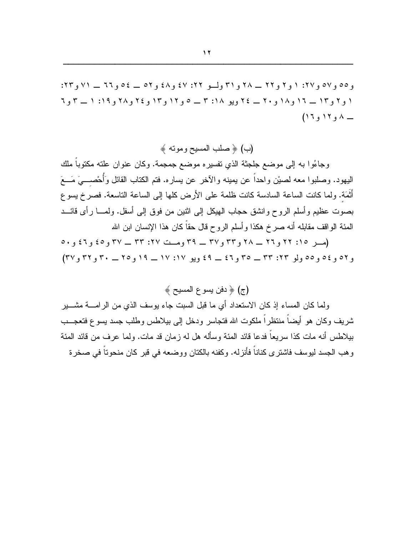و ٥٥ و ٥٧ و ٢٧: ١ و ٢ و ٢٢ \_ ٢٨ و ٣١ ولسو ٢٢: ٤٧ و ٤٨ و ٥٢ \_ ٤٥ و ٢٦ \_ ٧١ و ٢٣: ۱ و ۲ و ۱۲ \_ ۱۲ و ۱۸ و ۲۰ \_ ۲۶ ویو ۱۸: ۳ \_ ۵ و ۱۲ و ۲۶ و ۲۸ و ۱۹: ۱ \_ ۳ و ۱  $(17, 17, \lambda$ 

(ب) ﴿ صَلَبَ الْمَسْيَحِ وَمُوتَهُ ﴾

وجاءُوا به إلى موضع جلجنَّة الذي تفسيره موضع جمجمة. وكان عنوان علنه مكتوبا ملك اليهود. وصلبوا معه لصيْن واحداً عن يمينه والآخر عن يساره. فتم الكتاب القائل وَأُحْصـــيَ مَـــعَ أَثْمَة. ولما كانت الساعة السادسة كانت ظلمة على الأرض كلها إلى الساعة الناسعة. فصرخ يسوع بصوت عظيم وأسلم الروح وانشق حجاب الهيكل إلى اثنين من فوق إلى أسفل. ولمســا رأى فائـــد المئة الواقف مقابله أنه صرخ هكذا وأسلم الروح قال حقاً كان هذا الإنسان ابن الله

(مر ١٥: ٢٢ و٢٦ \_ ٢٨ و٣٣ و٣٧ \_ ٣٩ ومت ٢٧: ٣٣ \_ ٣٧ و٤٥ و٤٦ و٥٠  $(7 \vee 9 \vee 9 \vee 6 \vee 6) \vee (7 \vee 6) \vee (7 \vee 6) \vee (7 \vee 6) \vee (7 \vee 6) \vee (7 \vee 6) \vee (7 \vee 6) \vee (7 \vee 6) \vee (7 \vee 6) \vee (7 \vee 6) \vee (7 \vee 6) \vee (7 \vee 6) \vee (7 \vee 6) \vee (7 \vee 6) \vee (7 \vee 6) \vee (7 \vee 6) \vee (7 \vee 6) \vee (7 \vee 6) \vee (7 \vee 6$ 

ولما كان المساء إذ كان الاستعداد أي ما قبل السبت جاء بوسف الذي من الر امــــة مشــــير شريف وكان هو أيضاً منتظر اً ملكوت الله فتجاسر ۖ ودخل إلى بيلاطس وطلب جسد يسوع فتعجـــب بيلاطس أنه مات كذا سر يعاً فدعا قائد المئة وسأله هل له ز مان قد مات. ولما عر ف من قائد المئة وهب الجسد ليوسف فاشترى كناناً فأنزله. وكفنه بالكتان ووضعه في قبر كان منحوتاً في صخرة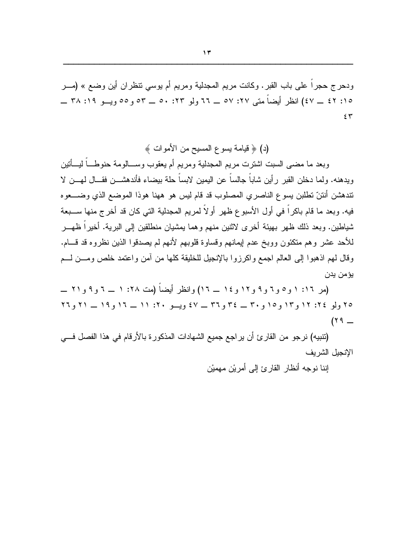ودحرج حجرٍ! على باب القبر . وكانت مريم المجدلية ومريم أم يوسى نتظر إن أين وضع » (مــر ١٥: ٤٢ \_ ٤٧) انظر أبضاً متبي ٢٧: ٥٧ \_ ٦٦ ولو ٢٣: ٥٠ \_ ٥٣ و ٥٥ وبسو ٦٩: ٣٨ \_  $55$ 

(د) ﴿ قيامة يسوع المسيح من الأموات ﴾

وبعد ما مضبي السبت اشترت مريع المجدلية ومريع أم يعقوب وســـالومـة حنوطــــاً ليــــأتين ويدهنه. ولما دخلن القبر رأين شاباً جالساً عن اليمين لابساً حلة بيضاء فأندهشـــن فقـــال لمهـــن لا نتدهشن أنتنّ نطلبن بسوع الناصري المصلوب قد قام ليس هو ههنا هوذا الموضع الذي وضـــعوه فيه. وبعد ما قام باكراً في أول الأسبوع ظهر أولاً لمريم المجدلية التي كان قد أخرج منها ســبعة شباطين. وبعد ذلك ظهر بهيئة أخرى لاثنين منهم وهما بمشيان منطلقين إلى البرية. أخيراً ظهـــر للأحد عشر وهم منكئون ووبخ عدم ايمانهم وقساوة قلوبهم لأنهم لم يصدقوا الذين نظروه قد قسام. وقال لمهم اذهبوا إلى العالم اجمع واكرزوا بالإنجيل للخليقة كلها من أمن واعتمد خلص ومــن لــم يؤمن يدن

(مر ١: ١ و٥ و٦ و٩ و١٢ و١٤ ــ ١٦) وانظر أيضاً (مت ٢٨: ١ ــ ٦ و٩ و ٢١ ــ ٢٥ ولو ٢٤: ١٢ و ١٢ و ٢٥ و ٣٠ \_ ٣٤ و ٣٦ \_ ٤٧ ويسو ٢٠: ١١ \_ ١١ و ١٩ \_ ٢١ و ٢٦  $(19 -$ 

(تنبيه) نرجو من القارئ أن يراجع جميع الشهادات المذكورة بالأرقام في هذا الفصل فــي الإنجبل الشر بف

إننا نوجه أنظار القارئ إلى أمرين مهميْن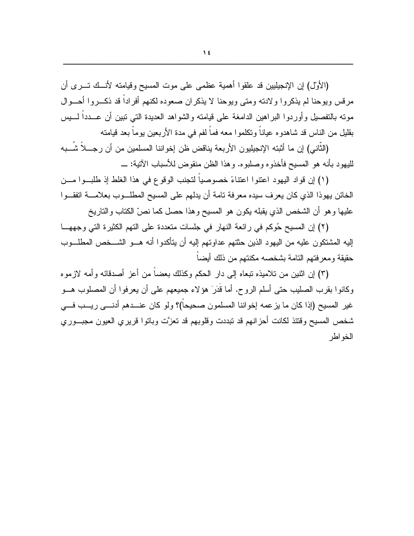(الأول) إن الإنجيليين قد علقوا أهمية عظمى على موت المسيح وقيامته لأنسك تسرى أن مرفس ويوحنا لم يذكروا ولادته ومتى ويوحنا لا يذكران صعوده لكنهم أفراداً قد ذكــروا أحــوال مونه بالتفصيل وأوردوا البراهين الدامغة على قيامته والشواهد العديدة التبي نبين أن عـــدداً لــــيس بقليل من الناس قد شاهدو ه عياناً و تكلمو ا معه فماً لفم في مدة الأربعين يوماً بعد قيامته

(الثَّاني) إن ما أَثبته الإنجيليون الأربعة يناقض ظن إخواننا المسلمين من أن رجـــلاً شَـــبه 

(١) إن قواد اليهود اعتنوا اعتناءً خصوصياً لتجنب الوقوع في هذا الغلط إذ طلب وا مـــن الخائن يهوذا الذي كان يعرف سيده معرفة نامة أن يدلهم على المسيح المطلـــوب بعلامــــة انفقـــوا عليها وهو أن الشخص الذي يقبله يكون هو المسيح وهذا حصل كما نصِّ الكتاب والتاريخ

(٢) إن المسيح حُوكم في رائعة النهار في جلسات متعددة على التهم الكثيرة التي وجههــا إليه المشتكون عليه من اليهود الذين حثتهم عداوتهم إليه أن يتأكدوا أنه هـــو الشـــخص المطلـــوب حقيقة ومعرفتهم التامة بشخصه مكنتهم من ذلك أيضاً

(٣) إن اثنين من تلاميذه تبعاه إلى دار الحكم وكذلك بعضاً من أعز أصدقائه وأمه لازموه وكانوا بقرب الصليب حتى أسلم الروح. أما قُدَرَ هؤلاء جميعهم على أن يعرفوا أن المصلوب هـــو غير المسيح (إذا كان ما يز عمه إخواننا المسلمون صحيحاً)؟ ولو كان عنـــدهم أدنــــى ريـــب فــــى شخص المسيح وقتئذ لكانت أحزانهم قد تبددت وقلوبهم قد تعزَّت وباتوا قريري العيون مجبـــوري الخو اطر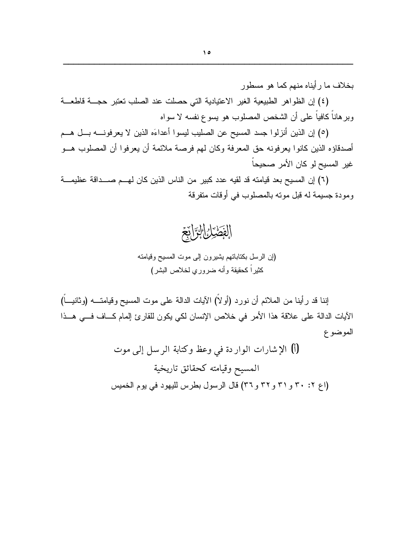بخلاف ما رأيناه منهم كما هو مسطور

(٤) إن الظواهر الطبيعية الغير الاعتيادية التي حصلت عند الصلب تعتبر حجسة قاطعة وبر هاناً كافياً على أن الشخص المصلوب هو يسوع نفسه لا سواه

(٥) إن الذين أنزلوا جسد المسيح عن الصليب ليسوا أعداءَه الذين لا يعرفونــــه بـــل هـــم أصدقاؤه الذين كانو ا يعرفونه حق المعرفة وكان لهم فرصة ملائمة أن يعرفو ا أن المصلوب هــو غير المسيح لو كان الأمر صحيحاً

(٦) إن المسيح بعد قيامته قد لقيه عدد كبير من الناس الذين كان لهــم صـــداقة عظيمـــة ومودة جسيمة له قبل مونه بالمصلوب في أوقات متفرقة



(إن الرسل بكناباتهم بشيرون إلى موت المسيح وفيامته كثير اً كحقيقة وأنه ضروري لخلاص البشر )

إننا قد رأينا من الملائم أن نورد (أولاً) الآيات الدالة على موت المسيح وقيامتــــه (وثانيــــاً) الآيات الدالة على علاقة هذا الأمر في خلاص الإنسان لكي يكون للقارئ إلمام كــاف فــي هــذا الموضوع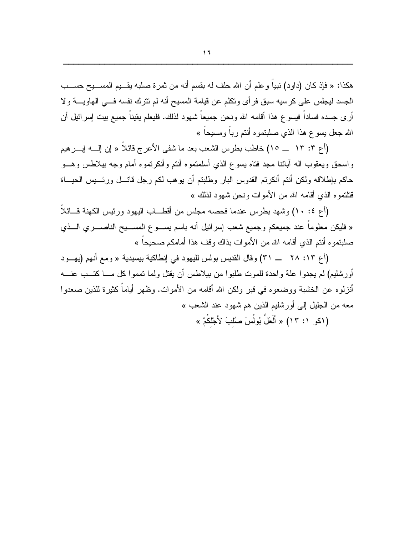هكذا: « فإذ كان (داود) نبياً و علم أن الله حلف له بقسم أنه من ثمر ة صلبه يقـــيم المســـيح حســـب الجسد ليجلس على كرسيه سبق فرأى ونكلم عن قيامة المسيح أنه لم نترك نفسه في الهاويــــة ولا أرى جسده فساداً فيسوع هذا أقامه الله ونحن جميعاً شهود لذلك. فليعلم يقيناً جميع بيت إسرائيل أن الله جعل يسوع هذا الذي صلبتموه أنتم رباً ومسيحاً »

وإسحق ويعقوب اله أبائنا مجد فتاه يسوع الذي أسلمتموه أنتم وأنكرتموه أمام وجه بيلاطس وهسو حاكم بإطلاقه ولكن أنتم أنكرتم القدوس البار وطلبتم أن يوهب لكم رجل فاتسل ورئسيس الحيساة قتلتموه الذي أقامه الله من الأموات ونحن شهود لذلك »

(أع ٤: ١٠) وشَّهد بطرس عندما فحصه مجلس من أقطـــاب اليهود ورئيس الكهنة قـــائلاً « فليكن معلوماً عند جميعكم وجميع شعب إسرائيل أنه باسم يســـوع المســـيح الناصــــري الـــذي صلبتموه أنتم الذى أقامه الله من الأموات بذاك وقف هذا أمامكم صحيحاً »

(أع ١٣: ٢٨ \_\_ ٣١) وقال القديس بولس لليهود في إنطاكية بيسيدية « ومع أنهم (يهود أورشليم) لم يجدوا علة واحدة للموت طلبوا من بيلاطس أن يقتل ولما تمموا كل مـــا كتـــب عنــــه أنزلوه عن الخشبة ووضعوه في قبر ولكن الله أقامه من الأموات. وظهر أياماً كثيرة للذين صعدوا معه من الجليل إلى أور شليم الذين هم شهود عند الشعب » (اكو ١: ١٣) « أَلَعَلٌ بُولُسَ صُلْبَ لأَجْلَكُمْ »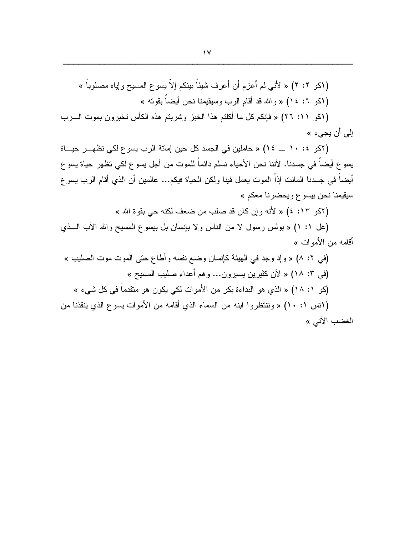إلى أن يجيء »

(٢كو ١٠: ١٠ ــ ١٤) « حاملين في الجسد كل حين إماتة الرب يسوع لكي تظهـــر حيـــاة يسو ع أيضاً في جسدنا. لأننا نحن الأحياء نسلم دائماً للموت من أجل يسو ع لكي تظهر حياة يسو ع أيضـاً في جسدنا المـائت إذاً المـوت يـعمل فينا ولكن الـحياة فيكم... عالمـين أن الذي أقام الرب يسو ع سيقيمنا نحن بيسوع ويحضرنا معكم »

(٢كو ١٣: ٤) « لأنه وإن كان قد صلب من ضعف لكنه حي بقوة الله »

(غل ١: ١) « بولس رسول لا من الناس ولا بإنسان بل بيسوع المسيح والله الأب اللَّفي أقامه من الأمو ات »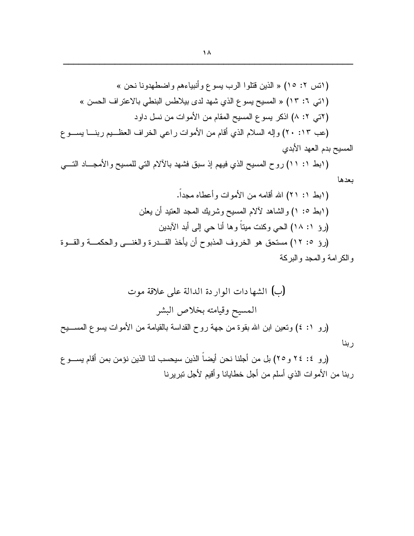(ابط ١: ١١) روح المسيح الذي فيهم إذ سبق فشهد بالآلام التي للمسيح والأمجـــاد التــــي بعدها

(رو ٤: ٢٤ و ٢٥) بل من أجلنا نحن أيضاً الذين سيحسب لنا الذين نؤمن بمن أقام يســـو ع ربنا من الأموات الذي أسلم من أجل خطايانا وأقيم لأجل نبريرنا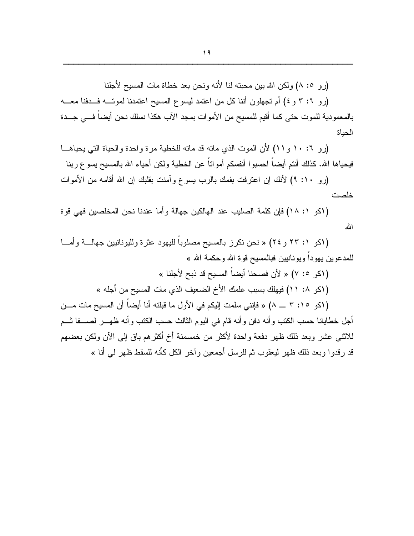(رو ٥: ٨) ولكن الله بين محبته لنا لأنه ونحن بعد خطاة مات المسيح لأجلنا

(رو ٦: ٣ و ٤) أم تجهلون أننا كل من اعتمد ليسوع المسيح اعتمدنا لموتــه فــدفنا معــه بالمعمودية للموت حتى كما أقيم للمسيح من الأموات بمجد الآب هكذا نسلك نحن أيضاً فـــى جـــدة الحباة

(رو ١٠: ١٠ و ١١) لأن الموت الذي ماته قد ماته للخطية مرة واحدة والحياة التي يحياهــا فيحياها الله. كذلك أنتم أيضاً احسبوا أنفسكم أمواتاً عن الخطية ولكن أحياء الله بالمسيح بسو ع ربنا

(رو ١٠: ٩) لأنك إن اعترفت بفمك بالرب يسوع وآمنت بقلبك إن الله أقامه من الأموات خلصت

(اكو ١: ١٨) فإن كلمة الصليب عند الهالكين جهالة وأما عندنا نحن المخلصين فهي قوة الله

(اكو ١: ٢٣ و ٢٤) « نحن نكرز بالمسيح مصلوباً لليهود عثرة ولليونانيين جهالـــة وأمـــا للمدعوين يهوداً ويونانيين فبالمسيح قوة الله وحكمة الله »

- 
- ( اكو ١٠ ١١) فيهلك بسبب علمك الأخ الضعيف الذي مات المسيح من أجله »

( (كو ١٥: ٣ ـــ ٨) « فإنني سلمت إليكم في الأول ما قبلته أنا أيضاً أن المسيح مات مـــن أجل خطايانا حسب الكتب و أنه دفن و أنه قام في اليو م الثالث حسب الكتب و أنه ظهـــر الصــــفا ثـــم للاثنـي عشر وبعد ذلك ظـهر دفعة واحدة لأكثر من خمسمئة أخ أكثرهم باق إلـي الآن ولكن بعضـهم قد رقدوا وبعد ذلك ظهر ليعقوب ثم للرسل أجمعين وآخر الكل كأنه للسقط ظهر ل<sub>ى</sub> أنا »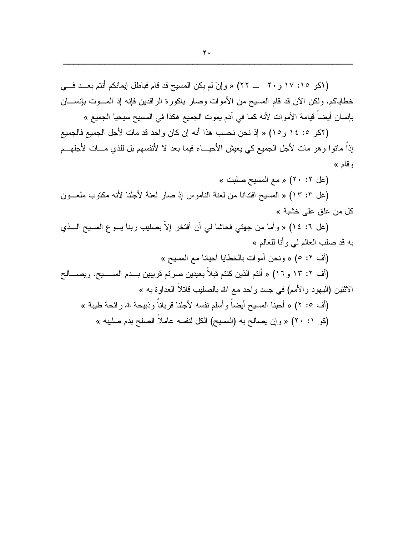( اكو ١٥: ١٧ و ٢٠ ـــ ٢٢) « وإنْ لم يكن المسيح قد قام فباطل إيمانكم أنتم بعــد فـــي خطاياكم. ولكن الآن قد قام المسيح من الأموات وصار باكورة الراقدين فإنه إذ المـــوت بإنســــان بإنسان أيضاً فيامة الأموات لأنه كما في آدم يموت الجميع هكذا في المسيح سيحيا الجميع »

(٢كو ١٥: ١٤ و ١٥) « إذ نحن نحسب هذا أنه إن كان واحد قد مات لأجل الجميع فالجميع إذاً ماتوا وهو مات لأجل الجميع كي يعيش الأحيـــاء فيما بعد لا لأنفسهم بل للذي مـــات لأجلهـــم وقام »

(غل ٢: ٢٠) « مع المسيح صلبت »

(غل ٣: ١٣) « المسيح افتدانا من لعنة الناموس إذ صار لعنة لأجلنا لأنه مكتوب ملعـون كل من علق على خشبة »

(غل ٦: ١٤) « وأما من جهتي فحاشا لمي أن أفتخر إلاّ بصليب ربنا يسوع المسيح الـــذي به قد صلب العالم لبي وأنا للعالم »

(أف ٢: ٥) « ونحن أموات بالخطايا أحيانا مع المسيح »

(أف ٢: ١٣ و ١٦) « أنتم الذين كنتم قبلاً بعيدين صرتم قريبين بــدم المســـيح. ويصــــالح الاثنين (اليهود والأمم) في جسد واحد مع الله بالصليب قانلاً العداوة به »

(أف 0: ٢) « أحبنا المسيح أيضـاً و أسلم نفسه لأجلنا قر بانـاً و ذبيحـة لله ر ائـحـة طيبـة » (كو ٢٠: ٢) « وإن يصالح به (المسيح) الكل لنفسه عاملاً الصلح بدم صليبه »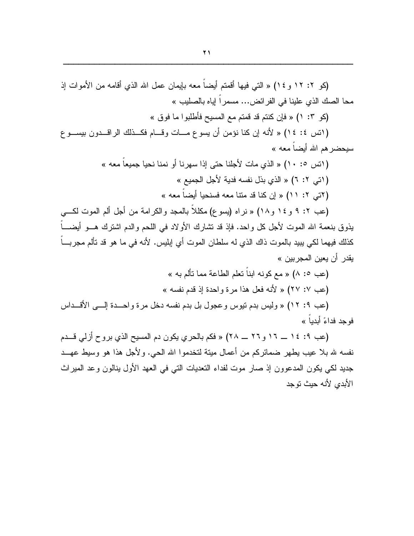(كو ١٢: ١٢ و ١٤) « التي فيها أقمتم أيضاً معه بإيمان عمل الله الذي أقامه من الأموات إذ محا الصك الذي علينا في الفرائض... مسمراً إياه بالصليب »

(كو ٣: ١) « فإن كنتم قد قمتم مع المسيح فأطلبوا ما فوق »

(اتس ٤: ١٤) « لأنه إن كنا نؤمن أن يسوع مــات وقــام فكــذلك الراقــدون بيســوع سيحضر هم الله أيضاً معه »

> (انس 0: ١٠) « الذي مات لأجلنا حتى إذا سهرنا أو نمنا نحيا جميعاً معه » ( اتي ٢: ٦) « الذي بذل نفسه فدية لأجل الجميع » ( آتی ۲: ۱۱) « إن كنا قد متنا معه فسنحيا أيضاً معه »

(عب ٢: ٩ و ١٤ و ١٨) « نراه (يسو ع) مكللاً بالمجد والكرامة من أجل ألم الموت لكـــي يذوق بنعمة الله الموت لأجل كل واحد. فإذ قد تشارك الأولاد في اللحم والدم اشترك هـــو أيضــــاً كذلك فيهما لكي بِبيد بالموت ذاك الذي له سلطان الموت أي ابِليس. لأنه في ما هو قد تألم مجربـــاً يقدر أن يعين المجر بين »

> (عب ٥: ٨) « مع كونه ابناً تعلم الطاعة مما تألم به » (عب ٧: ٢٧) « لأنه فعل هذا مرة واحدة إذ قدم نفسه »

(عب ٩: ١٢) « وليس بدم نيوس وعجول بل بدم نفسه دخل مرة واحــدة إلـــى الأقــداس فو حد فداءً أبدياً »

(عب ٩: ١٤ ــ ١٢ و ٢٦ ــ ٢٨) « فكم بالحرى يكون دم المسيح الذي بروح أزلي قــدم نفسه لله بلا عيب بطهر ضمائركم من أعمال مينة لتخدموا الله الحي. ولأجل هذا هو وسيط عهــد جديد لكي يكون المدعوون إذ صار موت لفداء التعديات التي في العهد الأول ينالون وعد الميراث الأبدى لأنه حبث توجد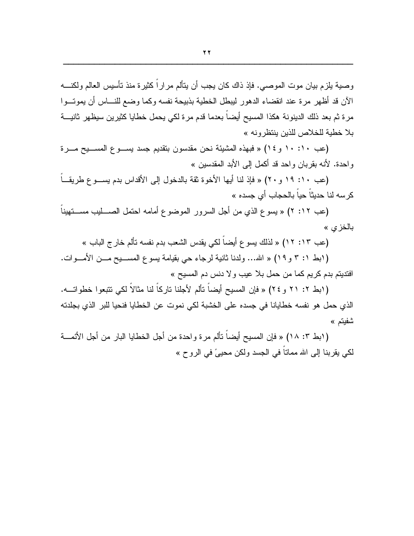وصية بلزم بيان موت الموصبي. فإذ ذاك كان يجب أن يتألم مر ار اً كثيرة منذ تأسيس العالم ولكنــــه الآن قد أظهر مرة عند انقضاء الدهور ليبطل الخطية بذبيحة نفسه وكما وضع للنساس أن يموتسوا مرة ثم بعد ذلك الدينونة هكذا المسيح أيضاً بعدما قدم مرة لكي يحمل خطايا كثيرين سيظهر ثانيـــة بلا خطية للخلاص للذين ينتظرونه »

(عب ١٠: ١٠ و ٢٤) « فبهذه المشيئة نحن مقدسون بتقديم جسد يسـوع المسـيح مــرة واحدة. لأنه بقربان واحد قد أكمل إلى الأبد المقدسين »

(عب ١٠: ١٩ و ٢٠) « فإذ لنا أيها الأخوة ثقة بالدخول إلى الأقداس بدم يســو ع طريقــاً كرسه لنا حديثاً حياً بالحجاب أ*ي* جسده »

(عب ١٢: ٢) « يسوع الذي من أجل السرور الموضوع أمامه احتمل الصـــــليب مســـتهيناً بالخزي »

(عب ١٣: ١٢) « لذلك يسوع أيضاً لكي يقدس الشعب بدم نفسه تألم خارج الباب »

(ابط 1: ٣ و ١٩) « الله... ولدنا ثانية لرجاء حي بقيامة يسوع المســـيح مـــن الأمــــوات. افتديتم بدم كريم كما من حمل بلا عيب ولا دنس دم المسيح »

(ابط ٢: ٢١ و ٢٤) « فإن المسيح أيضاً تألم لأجلنا تاركاً لنا مثالاً لكي تتبعوا خطواتـــه. الذي حمل هو نفسه خطايانا في جسده على الخشبة لكي نموت عن الخطايا فنحيا للبر الذي بجلدته شفبتم »

( ابط ٣: ١٨) « فإن المسيح أيضاً تألم مر ة و احدة من أجل الخطايا البار من أجل الأئمــــة لكي يقربنا إلى الله ممانا في الجسد ولكن محييٍّ في الروح »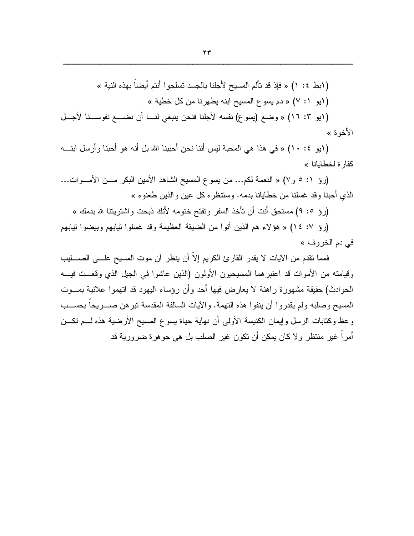(ايو ٣: ١٦) « وضع (يسوع) نفسه لأجلنا فنحن ينبغي لنـــا أن نضــــع نفوســنا لأجـــل الأخوة »

( ايو ٤: ١٠) « في هذا هي المحبة ليس أننا نحن أحببنا الله بل أنه هو أحبنا و أرسل ابنـــه كفارة لخطابانا »

(رؤ ١: ٥ و ٧) « النعمة لكم... من يسوع المسيح الشاهد الأمين البكر مـــن الأمـــوات... الذي أحبنا وقد غسلنا من خطايانا بدمه. وستنظره كل عين والذين طعنوه »

(روْ 0: ٩) مستحق أنت أن تأخذ السفر وتفتح ختومه لأنك ذبحت واشتريتنا لله بدمك »

(روِّ ٧: ١٤) « هوَ لاء هم الذين أُتوا من الضيقة العظيمة وقد غسلوا ثيابهم وبيضوا ثيابهم في دم الخروف »

فمما نقدم من الآيات لا يقدر القارئ الكريم إلاّ أن ينظر أن موت المسيح علـــي الصـــــليب وقيامته من الأموات قد اعتبرهما المسيحيون الأولون (الذين عاشوا في الجيل الذي وقعــت فيـــه الحوادث) حقيقة مشهورة راهنة لا يعارض فيها أحد وأن رؤساء اليهود قد اتهموا علانية بمـــوت المسيح وصلبه ولم يقدر و ا أن ينفو ا هذه النهمة. و الآيات السالفة المقدسة نبر هن صـــر يحاً بحســب وعظ وكتابات الرسل وإيمان الكنيسة الأولى أن نهاية حياة يسوع المسيح الأرضية هذه لـــم نكـــن أمر اً غير منتظر و لا كان يمكن أن تكون غير الصلب بل هي جو هر ة ضر و ر ية قد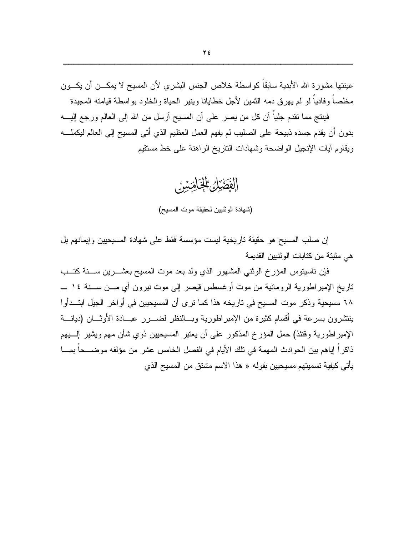عينتها مشورة الله الأبدية سابقاً كواسطة خلاص الجنس البشري لأن المسيح لا يمكـــن أن يكـــون مخلصا وفاديا لو لم يهر ق دمه الثمين لأجل خطايانا وينير الحياة والخلود بواسطة قيامته المجيدة

فينتج مما نقدم جلياً أن كل من يصر على أن المسيح أرسل من الله إلى العالم ورجع إليــــه بدون أن يقدم جسده ذبيحة على الصليب لم يفهم العمل العظيم الذي أتى المسيح إلى العالم ليكملـــه ويقاوم آيات الإنجيل الواضحة وشهادات الناريخ الراهنة على خط مستقيم

الفَطَيْلُ الْخَاضِيَنْ

(شهادة الوثنيين لحقيقة موت المسيح)

إن صلب المسيح هو حقيقة تاريخية ليست مؤسسة فقط على شهادة المسيحيين وإيمانهم بل هي مثبتة من كتابات الوثنيين القديمة

فإن ناسينوس المؤرخ الوثني المشهور الذي ولد بعد موت المسيح بعشـــرين ســـنة كتـــب تاريخ الإمبر اطورية الرومانية من موت أوغسطس قيصر إلىي موت نيرون أي مـــن ســــنة ١٤ ــــ ٦٨ مسيحية وذكر موت المسيح في ناريخه هذا كما نرى أن المسيحيين في أواخر الجيل ابتــدأوا ينتشرون بسرعة في أقسام كثيرة من الإمبراطورية وبسالنظر لضسرر عبسادة الأوثسان (ديانسة الإمبراطورية وقتئذ) حمل المؤرخ المذكور على أن يعتبر المسيحيين ذوى شأن مهم ويشير السبهم ذاكر أ إياهم بين الحو ادث المهمة في تلك الأيام في الفصل الخامس عشر ٍ من مؤلفه مو ضـــحاً بمـــا يأتي كيفية تسميتهم مسيحيين بقوله « هذا الاسم مشتق من المسيح الذي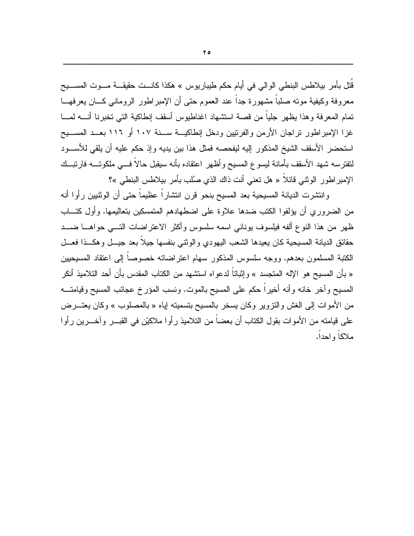قُتل بأمر بيلاطس البنطي الوالي في أيام حكم طيباريوس » هكذا كانـــت حقيقـــة مـــوت المســـيح معروفة وكيفية موته صلبا مشهورة جدا عند العموم حتى أن الإمبر اطور الروماني كـــان يعرفهـــا تمام المعرفة وهذا يظهر جلياً من قصة استشهاد اغناطيوس أسقف إنطاكية التبي تخبرنا أنــــه لمــــا غزا الإمبراطور نراجان الأرمن والفرنيين ودخل إنطاكيـــة ســـنة ١٠٧ أو ١١٦ بعــد المســـيح استحضر الأسقف الشيخ المذكور إليه ليفحصه فمثل هذا بين يديه وإذ حكم عليه أن يلقى للأســـود لتفترسه شهد الأسقف بأمانة ليسوع المسيح وأظهر اعتقاده بأنه سيقبل حالاً فسي ملكوتـــه فارتبــك الإمبراطور الوثني قائلاً « هل تعني أنت ذاك الذي صُلب بأمر بيلاطس البنطي »؟

وانتشرت الديانة المسيحية بعد المسيح بنحو قرن انتشاراً عظيماً حتى أن الوثنيين رأوا أنه من الضروري أن يؤلفوا الكتب ضدها علاوة على اضطهادهم المتمسكين بتعاليمها. وأول كتـــاب ظهر من هذا النوع ألفه فيلسوف يوناني اسمه سلسوس وأكثر الاعتراضات التسي حواهسا ضسد حقائق الديانة المسيحية كان يعيدها الشعب اليهودي والوثنى بنفسها جيلاً بعد جيــل وهكــذا فعــل الكتبة المسلمون بعدهم. ووجه سلسوس المذكور سهام اعتراضاته خصوصاً إلى اعتقاد المسيحيين « بأن المسيح هو الإله المتجسد » وإثباتاً لدعواه استشهد من الكتاب المقدس بأن أحد التلاميذ أنكر المسيح وأخر خانه وأنه أخيراً حكم على المسيح بالموت. ونسب المؤرخ عجائب المسيح وقيامتـــه من الأموات إلى الغش والنزوير وكان يسخر بالمسيح بتسميته إياه « بالمصلوب » وكان يعتــــرض على فيامته من الأموات بقول الكتاب أن بعضـاً من التلاميذ رأوا ملاكيْن في القبـــر وآخـــرين رأوا ملاكاً واحداً.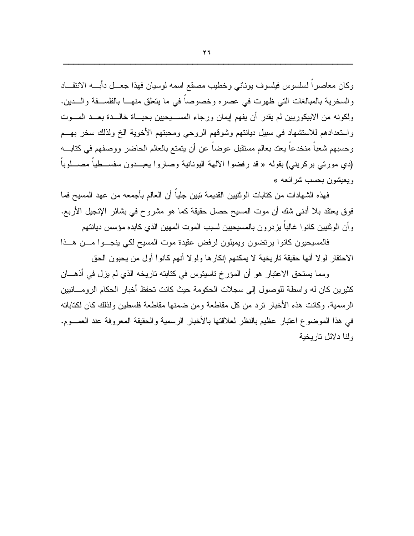وكان معاصرا لسلسوس فيلسوف يوناني وخطيب مصقع اسمه لوسيان فهذا جعــل دأبـــه الانتقـــاد والسخرية بالمبالغات التي ظهرت في عصره وخصوصا في ما يتعلق منهــا بالفلســفة والـــدين. ولكونه من الابيكوريين لم يقدر أن يفهم إيمان ورجاء المســـيحيين بحيـــاة خالـــدة بعـــد المــــوت واستعدادهم للاستشهاد في سبيل ديانتهم وشوقهم الروحي ومحبتهم الأخوية الخ ولذلك سخر بهــم وحسبهم شعباً منخدعاً يعتد بعالم مستقبل عوضاً عن أن يتمتع بالعالم الحاضر ووصفهم في كتابـــه (دي مورتي بركريني) بقوله « قد رفضوا الآلهة اليونانية وصاروا بعبــدون سفســطيا مصـــلوبا وبعيشون بحسب شر ائعه »

فهذه الشهادات من كتابات الوثنيين القديمة تبين جلياً أن العالم بأجمعه من عهد المسيح فما فوق يعتقد بلا أدنـي شك أن موت المسيح حصل حقيقة كما هو مشروح في بشائر الإنجيل الأربـع. و أن الو ثنيين كانو ا غالبا يز در و ن بالمسيحيين لسبب الموت المهين الذي كابده مؤسس ديانتهم

فالمسيحيون كانوا يرتضون ويميلون لرفض عقيدة موت المسيح لكى ينجــوا مـــن هـــذا الاحتقار لولا أنها حقيقة تاريخية لا يمكنهم إنكارها ولولا أنهم كانوا أول من يحبون الحق

ومما يستحق الاعتبار هو أن المؤرخ ناسيتوس في كتابته تاريخه الذي لم يزل في أذهـــان كثيرين كان له واسطة للوصول إلى سجلات الحكومة حيث كانت تحفظ أخبار الحكام الرومـــانيين الر سمية. وكانت هذه الأخبار تز د من كل مقاطعة و من ضمنها مقاطعة فلسطين و لذلك كان لكتاباته في هذا الموضوع اعتبار عظيم بالنظر لعلاقتها بالأخبار الرسمية والحقيقة المعروفة عند العمسوم. ولذا دلائل تار بخبة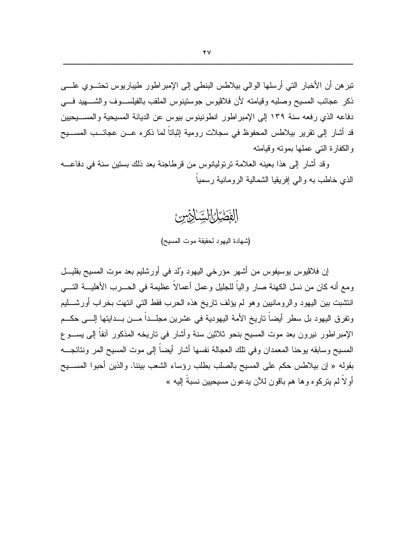نبر هن أن الأخبار التي أرسلها الوالي بيلاطس البنطي إلى الإمبر اطور طيباريوس تحتــو ي علـــي ذكر عجائب المسيح وصلبه وقيامته لأن فلاڤيوس جوستينوس الملقب بالفيلســـوف والشـــــهيد فــــي دفاعه الذي رفعه سنة ١٣٩ إلى الإمبر اطور انطونينوس بيوس عن الديانة المسيحية والمســـيحيين قد أشار إلى نقرير بيلاطس المحفوظ في سجلات رومية إثباتاً لما ذكره عـــن عجائــــب المســــيح والكفارة التبى عملها بموته وقيامته

وقد أشار إلى هذا بعينه العلامة ترتوليانوس من قرطاجنة بعد ذلك بستين سنة في دفاعــــه الذي خاطب به والبي إفريقيا الشمالية الرومانية رسميا

(شهادة اليهود لحقيقة موت المسيح)

الفَطْيُلُ السِّنَائِيِّينَ

إن فلاڤيوس يوسيفوس من أشهر ٍ مؤرخي اليهود وُلد في أور شليم بعد موت المسيح بقليـــل ومع أنه كان من نسل الكهنة صار والياً للجليل وعمل أعمالًا عظيمة في الحـــرب الأهليـــة النــــي انتشبت بين اليهود والرومانيين وهو لم يؤلف ناريخ هذه الحرب فقط التبي انتهت بخراب أورشـــليم وتفرق اليهود بل سطرٍ أيضاً تاريخ الأمة اليهودية في عشرين مجلَّــداً مـــن بـــدايتها إلــــي حكـــم الإمبراطور نيرون بعد موت المسيح بنحو ثلاثين سنة وأشار في تاريخه المذكور آنفاً إلى يســـوع المسيح وسابقه بوحنا المعمدان وفي تلك العجالة نفسها أشار أيضباً إلى موت المسيح المر ونتائجـــه بقوله « إن بيلاطس حكم على المسيح بالصلب بطلب رؤساء الشعب بيننا. والذين أحبوا المســـيح أو لاً لم يتركوه و ها هم باقون للآن يدعون مسيحيين نسبةُ اليه »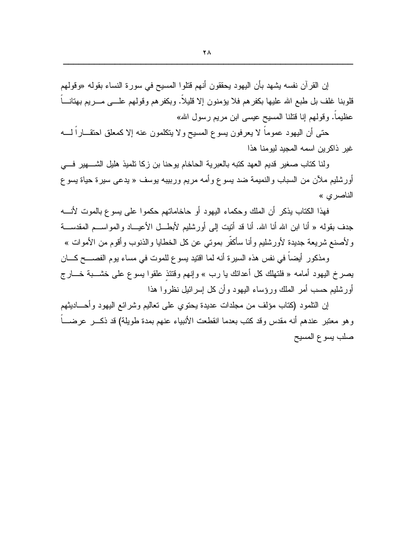إن القرآن نفسه بشهد بأن اليهود بحققون أنهم قتلوا المسيح في سورة النساء بقوله «وقولهم قلوبنا غلف بل طبع الله عليها بكفرهم فلا يؤمنون إلا قليلا. وبكفرهم وقولهم علـــي مـــريم بهنانــــا عظيماً. وقولهم إنا قتلنا المسيح عيسى ابن مريم رسول الله»

حتى أن البهود عموما لا يعرفون يسوع المسيح ولا يتكلمون عنه إلا كمعلق احتقـــارا لـــــه غير ذاكرين اسمه المجيد ليومنا هذا

ولنا كتاب صغير قديم العهد كتبه بالعبرية الحاخام بوحنا بن زكا تلميذ هليل الشــــهير فــــي أورشليم ملأن من السباب والنميمة ضد يسوع وأمه مريع ورببيبه بوسف « يدعى سيرة حياة يسوع الناصري »

فهذا الكتاب يذكر أن الملك وحكماء اليهود أو حاخاماتهم حكموا على يسوع بالموت لأنسه جدف بقولـه « أنـا ابن الله أنـا الله. أنـا قد أُننيت إلـى أورشليم لأبطـــل الأعيــــاد والمواســـم المقدســـة و لأصنع شريعة جديدة لأورشليم وأنا سأكفَّر بموتى عن كل الخطايا والذنوب وأقوم من الأموات »

ومذكور أيضاً في نفس هذه السيرة أنه لما اقتيد يسوع للموت في مساء يوم الفصــــح كــــان يصرخ اليهود أمامه « فلنهلك كل أعدائك يا رب » وإنهم وفتئذ علقوا يسوع على خشـــبة خـــار ج أورشليم حسب أمر الملك ورؤساء اليهود وأن كل إسرائيل نظروا هذا

إن النلمود (كتاب مؤلف من مجلدات عديدة يحتوى على تعاليم وشر ائع اليهود وأحـــاديثهم و هو معتبر عندهم أنه مقدس وقد كتب بعدما انقطعت الأنبياء عنهم بمدة طويلة) قد ذكـــر عرضــــاً صلب يسوع المسيح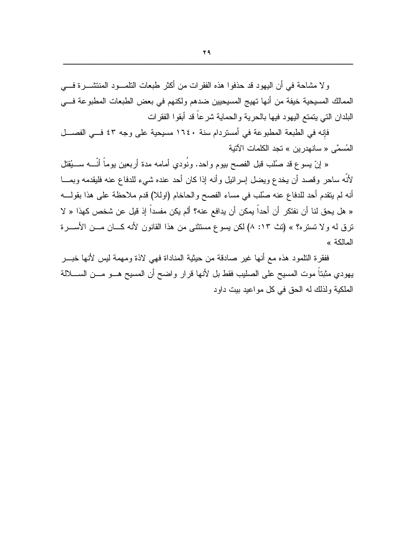و لا مشاحة في أن اليهود قد حذفو ا هذه الفقر ات من أكثر طبعات التلمـــود المنتشـــر ة فــــي الممالك المسبحية خيفة من أنها تهيج المسبحيين ضدهم ولكنهم في بعض الطبعات المطبوعة فسي البلدان النتي يتمتع اليهود فيها بالحرية والحماية شرعاً قد أبقوا الفقرات

فإنه في الطبعة المطبوعة في أمستردام سنة ١٦٤٠ مسيحية على وجه ٤٣ فــى الفصـــل المُسمَّى « سانهدرين » تجد الكلمات الآتية

« إنّ يسوع قد صُلْب قبل الفصح بيوم واحد. ونُودي أمامه مدة أربعين يوماً أنّــــه ســـيُقتل لأنَّه ساحرٍ وقصد أن يخدع ويضل إسرائيل وأنه إذا كان أحد عنده شيء للدفاع عنه فليقدمه وبمـــا أنه لم يتقدم أحد للدفاع عنه صُلب في مساء الفصح والحاخام (اوللا) قدم ملاحظة على هذا بقولـــه « هل يحق لنا أن نفتكر أن أحداً يمكن أن يدافع عنه؟ ألم يكن مفسداً إذ قيل عن شخص كهذا « لا ترق له ولا تستره؟ » (تث ١٣: ٨) لكن يسوع مستثنى من هذا القانون لأنه كـــان مـــن الأســــرة المالكة »

ففقرة النلمود هذه مع أنها غير صادقة من حيثية المناداة فهي لاذة ومهمة ليس لأنها خبـــر يهودي مثبتاً موت المسيح على الصليب فقط بل لأنها قرار واضح أن المسيح هـــو مـــن الســـــلالة الملكية ولذلك له الحق في كل مواعيد بيت داود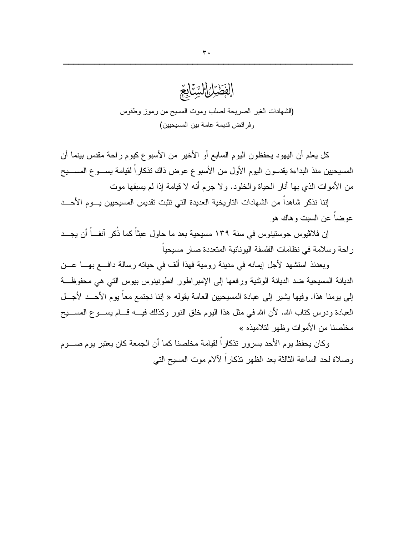

كل يعلم أن اليهود يحفظون اليوم السابع أو الأخير من الأسبوع كيوم راحة مقدس بينما أن المسيحيين منذ البداءة يقدسون اليوم الأول من الأسبوع عوض ذاك نذكاراً لقيامة يســـوع المســـيح من الأمو ات الذي بها أنار الحياة و الخلو د. و لا جر م أنه لا قيامة إذا لم يسبقها موت

إننا نذكر شاهداً من الشهادات النار يخية العديدة التي تثبت تقديس المسيحيين يـــو م الأحـــد عوضيا عن السبت و هاك هو

إن فلاڤيوس جوستينوس في سنة ١٣٩ مسيحية بعد ما حاول عبثاً كما ذُكر آنفــاً أن يجــد ر احة وسلامة في نظامات الفلسفة اليونانية المتعددة صار مسبحباً

وبعدئذ استشهد لأجل إيمانه في مدينة رومية فهذا ألف في حياته رسالة دافـــع بهـــا عـــن الديانة المسيحية ضد الديانة الوثنية ورفعها إلى الإمبر اطور انطونينوس بيوس التي هي محفوظة إلى يومنا هذا. وفيها يشير إلى عبادة المسيحيين العامة بقوله « إننا نجتمع معاً يوم الأحـــد لأجـــل العبادة ودرس كتاب الله. لأن الله في مثل هذا اليوم خلق النور وكذلك فيسه قسام بســـو ع المســــيح مخلصنا من الأموات وظهر لتلاميذه »

وكان يحفظ يوم الأحد بسرور تذكاراً لقيامة مخلصنا كما أن الجمعة كان يعتبر يوم صـــوم وصلاة لحد الساعة الثالثة بعد الظهر تذكار اً لآلام موت المسيح التي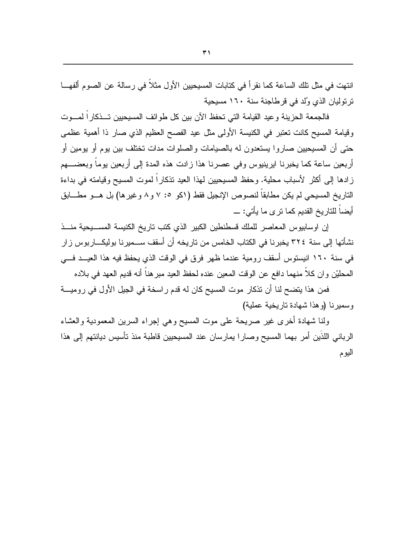انتهت في مثل تلك الساعة كما نقرٍ أ في كتابات المسيحيين الأول مثلاً في رسالة عن الصوم ألفهـــا تر توليان الذي وُلد في قرطاجنة سنة ١٦٠ مسيحية

فالجمعة الحزينة وعيد القيامة التي تحفظ الآن بين كل طوائف المسيحيين تــذكار اً لمـــوت وقيامة المسيح كانت تعتبر في الكنيسة الأولى مثل عيد الفصح العظيم الذي صار ذا أهمية عظمى حتى أن المسيحيين صاروا يستعدون له بالصيامات والصلوات مدات تختلف بين يوم أو يومين أو أربعين ساعة كما يخبرنا ايرينيوس وفي عصرنا هذا زادت هذه المدة إلى أربعين يوما وبعضــــهم زادها إلى أكثر لأسباب محلية. وحفظ المسيحيين لهذا العيد نذكاراً لموت المسيح وقيامته في بداءة الناريخ المسيحي لم يكن مطابقاً لنصوص الإنجيل فقط (اكو ٥: ٧ و ٨ وغير ها) بل هــو مطـــابق أيضاً للناريخ القديم كما نرى ما يأتي: \_

إن اوسابيوس المعاصر للملك فسطنطين الكبير الذي كتب ناريخ الكنيسة المســيحية منــذ نشأتها إلى سنة ٣٢٤ يخبرنا في الكتاب الخامس من تاريخه أن أسقف ســـميرنا بوليكــــاربوس ز ار في سنة ١٦٠ انيستوس أسقف رومية عندما ظهر فرق في الوقت الذي يحفظ فيه هذا العيــد فـــي المحليْن و ان كلاَّ منهما دافع عن الوقت المعين عنده لحفظ العيد مبر هناً أنه قديم العهد في بلاده

فمن هذا يتضح لنا أن نذكار موت المسيح كان له قدم راسخة في الجيل الأول في روميــــة وسمير نا (و هذا شهادة تار بخبة عملية)

ولنا شهادة أخرى غير صريحة على موت المسيح وهي إجراء السرين المعمودية والعشاء الرباني اللذين أمر بهما المسيح وصارا يمارسان عند المسيحيين فاطبة منذ نأسيس ديانتهم إلى هذا اليوم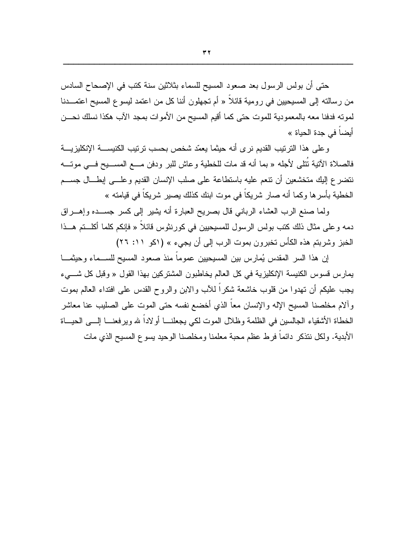حتى أن بولس الرسول بعد صعود المسيح للسماء بثلاثين سنة كتب في الإصحاح السادس من رسالته إلى المسيحيين في رومية قائلا « أم تجهلون أننا كل من اعتمد ليسو ع المسيح اعتمـــدنا لموته فدفنا معه بالمعمودية للموت حتى كما أقيم المسيح من الأموات بمجد الآب هكذا نسلك نحـــن

أيضاً في جدة الحياة »

وعلى هذا الترنيب القديم نرى أنه حيثما يعمّد شخص بحسب نرنيب الكنيســـة الإنكليزيــــة فالصلاة الأننية نُتلبى لأجله « بما أنه قد مات للخطية وعاش للبر ودفن مـــع المســـيح فـــي موتــــه نتضرع إليك متخشعين أن نتعم عليه باستطاعة على صلب الإنسان القديم وعلـــى إبطـــال جســـم الخطية بأسرها وكما أنه صار شريكاً في موت ابنك كذلك يصير شريكاً في قيامته »

ولما صنع الرب العشاء الرباني قال بصريح العبارة أنه يشير إلى كسر جســده وإهـــراق دمه و على مثال ذلك كتب بولس الرسول للمسيحيين في كورينثوس قائلاً « فإنكم كلما أكلــتم هــذا الخبز وشربتم هذه الكأس تخبرون بموت الرب إلى أن يجيء » (اكو ١١: ٢٦)

إن هذا السر المقدس يُمارس بين المسيحيين عموماً منذ صعود المسيح للســـماء وحيثمـــا يمارس فسوس الكنيسة الإنكليزية في كل العالم يخاطبون المشتركين بهذا القول « وقبل كل شـــيء يـجب عليكم أن تـهدوا من قلوب خاشعة شكراً للأب والابن والروح القدس علـى افتداء الـعالم بموت و ألام مخلصنا المسيح الإله و الإنسان معاً الذي أخضبع نفسه حتى الموت على الصليب عنا معاشر الخطاة الأشقياء الجالسين في الظلمة وظلال الموت لكي يجعلنــــا أولاداً لله ويرفعنــــا إلــــي الـحيــــاة الأبدية. ولكل نتذكر دائماً فرط عظم محبة معلمنا ومخلصنا الوحيد يسوع المسيح الذي مات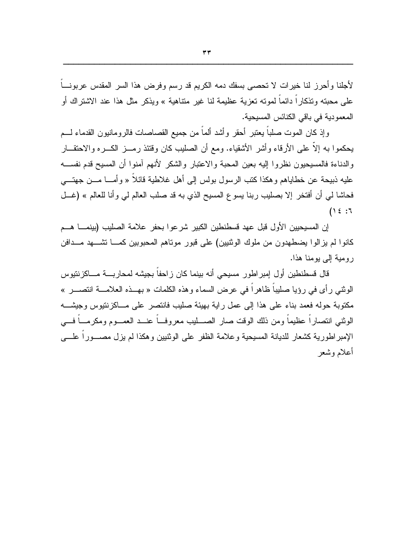لأجلنا وأحرز لنا خيرات لا تحصبي بسفك دمه الكريم قد رسم وفرض هذا السر المقدس عربونـــا علَّى محبَّنه وتذكار! دائما لموته تعزية عظيمة لنا غير متناهية » ويذكر مثل هذا عند الاشتراك أو المعمودية في باقي الكنائس المسيحية.

وإذ كان الموت صلباً يعتبر أحقر وأشد ألماً من جميع القصاصات فالرومانيون القدماء لـــم يحكموا به إلاَّ علي الأرقاء وأشر الأشقياء. ومع أن الصليب كان وقتئذ رمــز الكــره والاحتقــار والدناءة فالمسيحيون نظروا اليه بعين المحبة والاعتبار والشكر لأنهم آمنوا أن المسيح قدم نفســـه عليه ذبيحة عن خطاياهم وهكذا كتب الرسول بولس إلى أهل غلاطية قائلاً « وأمـــا مـــن جهتــــى فحاشا لمي أن أفتخر إلا بصليب ربنا يسوع المسيح الذي به قد صلب العالم لمي وأنا للعالم » (غـــل  $(12:7$ 

إن المسيحيين الأول قبل عهد قسطنطين الكبير شرعوا بحفر علامة الصليب (بينمــــا هـــم كانوا لم يزالوا يضطهدون من ملوك الوثنيين) على قبور موناهم المحبوبين كمــــا تشــــهد مـــدافن رومية إلى يومنا هذا.

قال قسطنطين أول إمبراطور مسيحي أنه بينما كان زاحفاً بجيشه لمحاربـــة مـــاكزنتيوس الوثني رأى في رؤيا صليباً ظاهراً في عرض السماء وهذه الكلمات « بهــذه العلامـــة انتصـــر » مكتوبة حوله فعمد بناء على هذا إلى عمل راية بهيئة صليب فانتصر على مـــاكز نتيوس وجيشـــه الوثني انتصار أ عظيماً ومن ذلك الوقت صار الصـــليب معر وفـــاً عنـــد العمـــوم ومكر مـــاً فـــي الإمبراطورية كشعار للديانة المسيحية وعلامة الظفر على الوثنيين وهكذا لم يزل مصـــوراً علــــي أعلام وشعر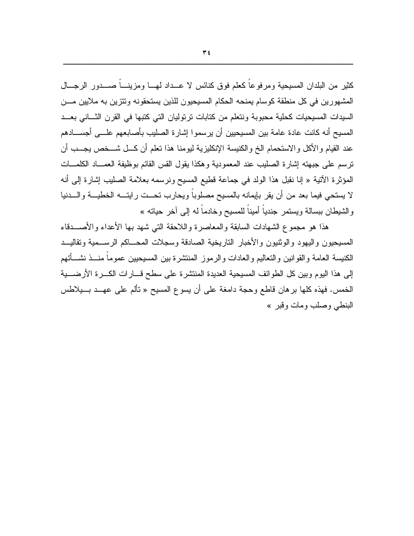كثير من البلدان المسيحية ومرفوعا كعلم فوق كنائس لا عــداد لهـــا ومزينــــا صــــدور الرجـــال المشهورين في كل منطقة كوسام بمنحه الحكام المسيحيون للذين يستحقونه وتتزين به ملايين مـــن السيدات المسيحيات كحلية محبوبة ونتعلم من كتابات ترتوليان التي كتبها في القرن الثساني بعــد المسيح أنه كانت عادة عامة بين المسيحيين أن يرسموا إشارة الصليب بأصابعهم علـــي أجســــادهم عند القيام والأكل والاستحمام الخ والكنيسة الإنكليزية ليومنا هذا تعلم أن كـــل شـــخص يجـــب أن نرسم على جبهته إشارة الصليب عند المعمودية وهكذا يقول القس القائم بوظيفة العمـــاد الكلمـــات المؤثِّرة الآتية « إنا نقبل هذا الولد في جماعة قطيع المسيح ونرسمه بعلامة الصليب إشارة إلى أنه لا يستحي فيما بعد من أن يقر بإيمانه بالمسيح مصلوباً ويحارب تحــت رايتـــه الخطيـــة والــــدنيا والشيطان ببسالة ويستمر جندياً أميناً للمسيح وخادماً له إلى آخر حياته »

هذا هو مجموع الشهادات السابقة والمعاصرة واللاحقة التبي شهد بها الأعداء والأصـــدقاء المسيحيون واليهود والوثنيون والأخبار التاريخية الصادقة وسجلات المحساكم الرسسمية وتقاليسد الكنيسة العامة والقوانين والتعاليم والعادات والرموز المنتشرة بين المسيحيين عموماً منـــذ نشـــأتهم إلى هذا اليوم وبين كل الطوائف المسيحية العديدة المنتشرة على سطح قـــارات الكـــرة الأرضــــية الخمس. فهذه كلها برهان قاطع وحجة دامغة على أن يسوع المسيح « تألم على عهــد بـــبلاطس البنطبي وصلب ومات وقبر »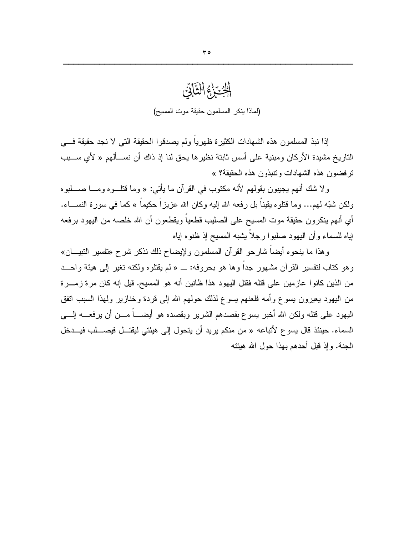# الزيزنج الثآني (لماذا ينكر المسلمون حقيقة موت المسيح)

إذا نبذ المسلمون هذه الشهادات الكثير ة ظهرياً ولم يصدقو ا الحقيقة التي لا نجد حقيقة فـــي الناريخ مشيدة الأركان ومبنية على أسس ثابتة نظيرها يحق لنا إذ ذاك أن نســألهم « لأي ســـبب نر فضون هذه الشهادات وتنبذون هذه الحقيقة؟ »

ولا شك أنهم يجيبون بقولهم لأنه مكتوب في القرآن ما يأتي: « وما قتلـــوه ومــــا صــــلبوه ولكن شبَّه لـهم... وما قُتلوه يقيناً بل رفعه الله اليه وكان الله عزيزاً حكيماً » كما في سورة النســـاء. أي أنهم بنكرون حقيقة موت المسيح على الصليب قطعيا ويقطعون أن الله خلصه من اليهود برفعه لِباه للسماء وأن اليهود صلبوا رجلاً بِشبه المسيح إذ ظنوه لِباه

وهذا ما ينحوه أيضاً شارحو القرآن المسلمون ولإيضاح ذلك نذكر شرح «تفسير النبيـــان» وهو كتاب لنفسير القرآن مشهور جداً وها هو بحروفه: \_ « لم يقتلوه ولكنه نغير إلى هيئة واحــد من الذين كانوا عازمين على قتله فقتل اليهود هذا ظانين أنه هو المسيح. قيل إنه كان مرة زمـــرة من اليهود يعيرون يسوع وأمه فلعنهم يسوع لذلك حولهم الله إلى قردة وخنازير ولهذا السبب انفق اليهود على قتله ولكن الله أخبر يسوع بقصدهم الشرير وبقصده هو أيضــــاً مـــن أن يرفعــــه إلــــى السماء. حينئذ قال يسوع لأتباعه « من منكم يريد أن يتحول إلى هيئتي ليقتـــل فيصــــلب فيـــدخل الجنة. وإذ قبل أحدهم بهذا حول الله هيئته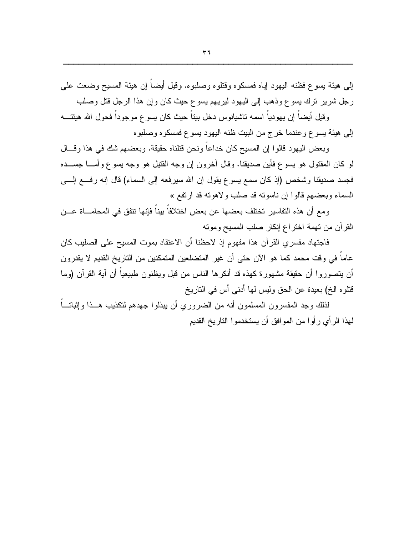إلى هيئة يسوع فظنه اليهود إياه فمسكوه وقتلوه وصلبوه. وقيل أيضاً إن هيئة المسيح وضعت على رجل شرير نرك يسوع وذهب إلى اليهود ليريهم يسوع حيث كان وإن هذا الرجل قتل وصلب

وقيل أيضاً إن يهودياً اسمه تاشيانوس دخل بيتاً حيث كان يسوع موجوداً فحول الله هيئتــــه إلى هيئة يسوع وعندما خرج من البيت ظنه اليهود يسوع فمسكوه وصلبوه

وبعض اليهود قالوا إن المسيح كان خداعاً ونحن قتلناه حقيقة. وبعضهم شك في هذا وقسال لمو كان المقتول هو يسوع فأين صديقنا. وقال أخرون إن وجه القتيل هو وجه يسوع وأمــــا جســــده فجسد صديقنا وشخص (إذ كان سمع يسوع يقول إن الله سيرفعه إلى السماء) قال إنه رفــع إلـــي السماء وبعضهم قالوا إن ناسونه قد صلب ولاهونه قد ارتفع »

ومع أن هذه النفاسير تختلف بعضها عن بعض اختلافاً بيناً فإنها تتفق في المحامـــاة عـــن القرآن من تهمة اختراع إنكار صلب المسيح وموته

فاجتهاد مفسري القرآن هذا مفهوم إذ لاحظنا أن الاعتقاد بموت المسيح على الصليب كان عاماً في وقت محمد كما هو الآن حتى أن غير المتضلعين المتمكنين من التاريخ القديم لا يقدرون أن يتصوروا أن حقيقة مشهورة كهذه قد أنكرها الناس من قبل ويظنون طبيعياً أن آية القرآن (وما قتلوه الخ) بعيدة عن الحق وليس لها أدنى أس في التاريخ

لذلك وجد المفسرون المسلمون أنه من الضروري أن ببذلوا جهدهم لتكذيب هــذا وإثباتـــاً لمهذا الر أي ر أو ا من المو افق أن يستخدمو ا التار يخ القديم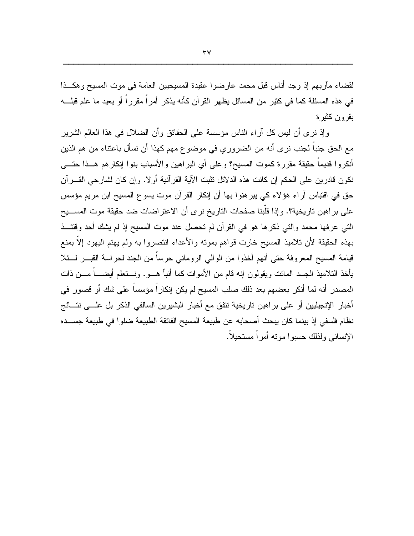لقضاء مآربهم إذ وجد أناس قبل محمد عارضوا عقيدة المسيحيين العامة في موت المسيح وهكــذا في هذه المسئلة كما في كثير من المسائل يظهر القرآن كأنه يذكر أمراً مقرراً أو يعيد ما علم قبلــــه بقر ون کثير ۃ

وإذ نرى أن ليس كل أراء الناس مؤسسة على الحقائق وأن الضلال في هذا العالم الشرير مع الحق جنباً لجنب نر ي أنه من الضرور ي في موضوع مهم كهذا أن نسأل باعتناء من هم الذين أنكروا قديماً حقيقة مقررة كموت المسيح؟ وعلى أي البر اهين والأسباب بنوا إنكارهم هــذا حتـــى نكون فادرين على الحكم إن كانت هذه الدلائل نثبت الآية القرآنية أولا. وإن كان لشارحي القـــرآن حق في اقتباس أراء هؤلاء كي يبر هنوا بها أن إنكار القرآن موت يسوع المسيح ابن مريم مؤسس على براهين تاريخية؟. وإذا قلَّبنا صفحات التاريخ نرى أن الاعتراضات ضد حقيقة موت المســـبح التبي عرفها محمد والتبي ذكرها هو في القرآن لم تحصل عند موت المسيح إذ لم يشك أحد وقتئــذ بهذه الحقيقة لأن تلاميذ المسيح خارت قواهم بموته والأعداء انتصروا به ولم يهتم اليهود إلاَّ بمنع قيامة المسيح المعروفة حتى أنهم أخذوا من الوالي الروماني حرساً من الجند لحراسة القبـــر لــــئلا يأخذ التلاميذ الجسد المائت ويقولون إنه قام من الأموات كما أنبأ هـــو. ونـــنعلم أيضــــاً مـــن ذات المصدر أنه لما أنكر بعضهم بعد ذلك صلب المسيح لم يكن إنكاراً مؤسساً على شك أو قصور في أخبار الإنجيليين أو على براهين تاريخية تتفق مع أخبار البشيرين السالفي الذكر بل علـــي نتـــائج نظام فلسفى إذ بينما كان يبحث أصحابه عن طبيعة المسيح الفائقة الطبيعة ضلوا في طبيعة جســـده الإنساني ولذلك حسبوا مونه أمر أ مستحيلاً.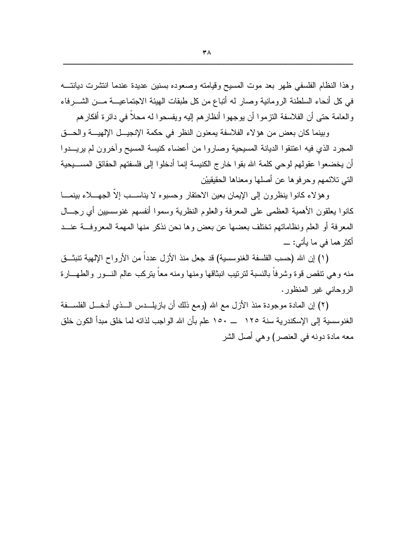وهذا النظام الفلسفي ظهر بعد موت المسيح وقيامته وصعوده بسنين عديدة عندما انتشرت ديانتـــه في كل أنحاء السلطنة الرومانية وصار له أنباع من كل طبقات الهيئة الاجتماعيـــة مــــن الشـــــرفاء والعامة حتى أن الفلاسفة النزموا أن بوجهوا أنظارهم إليه ويفسحوا له محلاً في دائرة أفكارهم

وبينما كان بعض من هؤلاء الفلاسفة بمعنون النظر في حكمة الإنجيــل الإلهيـــة والحـــق المجرد الذي فيه اعتنقوا الديانة المسيحية وصاروا من أعضاء كنيسة المسيح وآخرون لم يريسدوا أن يخضعوا عقولهم لوحي كلمة الله بقوا خارج الكنيسة إنما أدخلوا إلى فلسفتهم الحقائق المســـيحية التبي تلائمهم وحرفوها عن أصلها ومعناها الحقيقيين

وهؤلاء كانوا بنظرون إلى الإيمان بعين الاحتقار وحسبوه لا بناســب إلا الجهـــلاء ببنمـــا كانوا بعلقون الأهمية العظمى على المعرفة والعلوم النظرية وسموا أنفسهم غنوسسبين أي رجـــال المعرفة أو العلم ونظاماتهم تختلف بعضها عن بعض وها نحن نذكر منها المهمة المعروفــة عنــد أكثر هما في ما يأتي: \_\_

(١) إن الله (حسب الفلسفة الغنوسسية) قد جعل منذ الأزل عدداً من الأرواح الإلهية نتبثــق منه وهي نتقص قوة وشرفا بالنسبة لنرنيب انبثاقها ومنها ومنه معا بنركب عالم النسور والطهسارة الروحاني غير المنظور.

(٢) إن المعادة موجودة منذ الأزل مع الله (ومع ذلك أن بازيلــدس الــذي أدخــل الفلســفة الغنوسسية إلى الإسكندرية سنة ١٢٥ \_ ١٥٠ علم بأن الله الواجب لذاته لما خلق مبدأ الكون خلق معه مادة دونه في العنصر ) وهي أصل الشر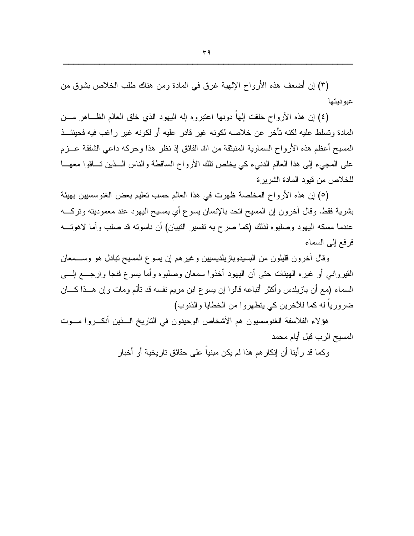(٣) إن أضعف هذه الأرواح الإلهية غرق في المادة ومن هناك طلب الخلاص بشوق من عبوديتها

(٤) إن هذه الأرواح خلقت إلها دونها اعتبروه إله اليهود الذي خلق العالم الظــاهر مـــن المادة وتسلط عليه لكنه تأخر عن خلاصه لكونه غير قادر عليه أو لكونه غير راغب فيه فحينئــذ المسيح أعظم هذه الأرواح السماوية المنبثقة من الله الفائق إذ نظر هذا وحركه داعي الشفقة عـــزم على المجيء إلى هذا العالم الدنبيء كي يخلص نلك الأرواح الساقطة والناس الـــذين تـــاقوا معهـــا للخلاص من فيود المادة الشريرة

(٥) إن هذه الأرواح المخلصة ظهرت في هذا العالم حسب تعليم بعض الغنوسسبين بهيئة بشرية فقط. وقال أخرون إن المسيح اتحد بالإنسان يسوع أي بمسيح اليهود عند معموديته ونركــــه عندما مسكه اليهود وصلبوه لذلك (كما صرح به تفسير النبيان) أن ناسونه قد صلب وأما لاهونــــه فرفع إلى السماء

وقال أخرون قليلون من البسيدوبازيلديسيين وغيرهم إن يسوع المسيح نبادل هو وســـمعان القيروانـي أو غيره الـهيئات حتـي أن اليـهود أخذوا سمعان وصلبوه وأما يسوع فنجا وارجـــع إلــــي السماء (مع أن بازيلدس وأكثر أنباعه قالوا إن يسوع ابن مريم نفسه قد نألم ومات وإن هــذا كـــان ضر ورياً له كما للآخرين كي يتطهر وا من الخطايا والذنوب)

هؤلاء الفلاسفة الغنوسسيون هم الأشخاص الوحيدون في الناريخ الـــذين أنكـــروا مـــوت المسيح الرب قبل أيام محمد

وكما قد رأينا أن إنكارهم هذا لم يكن مبنياً على حقائق تاريخية أو أخبار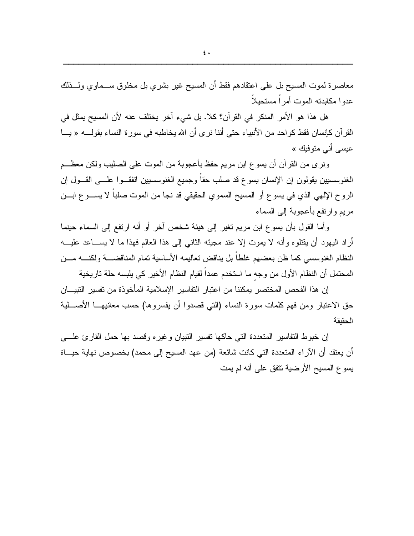معاصرة لموت المسيح بل على اعتقادهم فقط أن المسيح غير بشري بل مخلوق ســـماوي ولـــذلك عدوا مكابدته الموت أمر أ مستحبلاً

هل هذا هو الأمر المنكر في القرآن؟ كلا. بل شيء آخر يختلف عنه لأن المسيح يمثل في القرآن كإنسان فقط كواحد من الأنبياء حتى أننا نرى أن الله يخاطبه في سورة النساء بقولـــــه « يــــا عيسى أني متوفيك »

ونرى من القرآن أن يسو ع ابن مريم حفظ بأعجوبة من الموت على الصليب ولكن معظـــم الغنوسسيين يقولون إن الإنسان يسوع قد صلب حقاً وجميع الغنوسسيين اتفقــوا علـــي القـــول إن الروح الإلهي الذي في يسوع أو المسيح السموي الحقيقي قد نجا من الموت صلبا لا يســـوع ابـــن مريم وإرتفع بأعجوبة إلى السماء

و أما القول بأن يسوع ابن مريع تغير إلى هيئة شخص آخر أو أنه ارتفع إلى السماء حينما أراد اليهود أن يقتلوه وأنه لا يموت إلا عند مجيئه الثاني إلى هذا العالم فهذا ما لا يســـاعد عليــــه النظام الغنوسسي كما ظن بعضهم غلطاً بل يناقض تعاليمه الأساسية تمام المناقضــــة ولكنــــه مـــن المحتمل أن النظام الأول من وجه ما استخدم عمداً لقيام النظام الأخير كي يلبسه حلة ناريخية

إن هذا الفحص المختصر يمكننا من اعتبار التفاسير الإسلامية المأخوذة من تفسير التبيـــان حق الاعتبار ومن فهم كلمات سورة النساء (التبي قصدوا أن يفسروها) حسب معانيهــــا الأصـــــلية الحقنقة

إن خبوط النفاسير المتعددة التي حاكها نفسير النبيان وغيره وقصد بها حمل القارئ علسى أن يعتقد أن الآراء المتعددة التي كانت شائعة (من عهد المسيح إلى محمد) بخصوص نهاية حيـــاة يسوع المسيح الأرضية نتفق على أنه لم يمت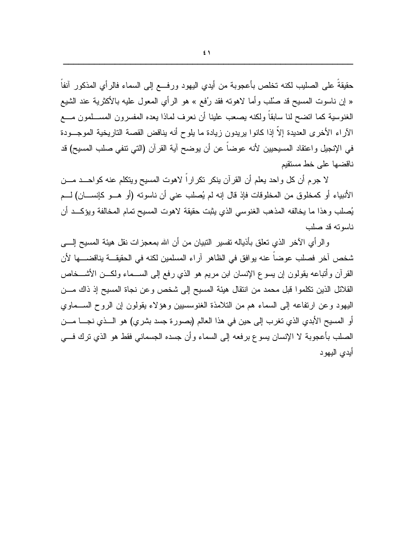حقيقةً على الصليب لكنه تخلص بأعجوبة من أيدى اليهود ورفسع إلى السماء فالر أي المذكور ِ آنفاً « إن ناسوت المسيح قد صُلْبٍ وأما لاهوته فقد رُفع » هو الرأي المعول عليه بالأكثرية عند الشيع الغنوسية كما انضح لنا سابقاً ولكنه بصعب علينا أن نعرف لماذا يعده المفسرون المســـلمون مــــع الآراء الأخرى العديدة إلاَّ إذا كانوا بريدون زيادة ما يلوح أنه يناقض القصة الناريخية الموجـــودة في الإنجيل واعتقاد المسيحيين لأنه عوضاً عن أن يوضح آية القرآن (التي نتفي صلب المسيح) قد ناقضها على خط مستقيم

لا جرم أن كل واحد يعلم أن القرآن ينكر نكراراً لاهوت المسيح ويتكلم عنه كواحـــد مـــن الأنبياء أو كمخلوق من المخلوقات فإذ قال إنه لم يُصلب عني أن ناسوته (أو هـــو كإنســــان) لـــم يُصلب وهذا ما يخالفه المذهب الغنوسي الذي يثبت حقيقة لاهوت المسيح نمام المخالفة ويؤكــد أن ناسوته قد صلب

والرأي الآخر الذي نعلق بأذياله نفسير النبيان من أن الله بمعجزات نقل هيئة المسيح إلــــي شخص آخر فصلب عوضاً عنه يوافق في الظاهر آراء المسلمين لكنه في الحقيقـــة يناقضــــها لأن القرآن وأنباعه يقولون إن يسوع الإنسان ابن مريم هو الذي رفع إلى الســـماء ولكـــن الأشـــخاص القلائل الذين تكلموا قبل محمد من انتقال هيئة المسيح إلى شخص وعن نجاة المسيح إذ ذاك مـــن اليهود وعن ارتفاعه إلى السماء هم من التلامذة الغنوسسيين وهؤلاء بقولون إن الروح الســماوي أو المسيح الأبدي الذي تغرب إلى حين في هذا العالم (بصورة جسد بشرى) هو الـــذي نجــــا مــــن الصلب بأعجوبة لا الإنسان يسوع برفعه إلى السماء وأن جسده الجسماني فقط هو الذي نزك فـــي أيدى اليهود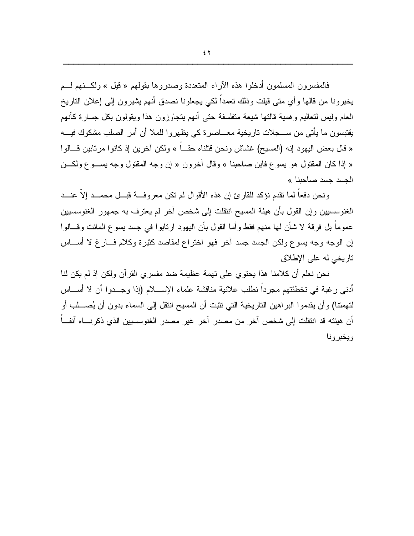فالمفسرون المسلمون أدخلوا هذه الآراء المتعددة وصدروها بقولهم « قيل » ولكـــنهم لـــم يخبرونـا من قالـها وأي متبي قيلت وذلك تـعمداً لكـي يـجعلونـا نصدق أنـهم يشيرون إلـي إعلان التاريخ العام وليس لنعاليم وهمية فالنها شيعة متفلسفة حتى أنهم يتجاوزون هذا ويقولون بكل جسارة كأنهم يقتبسون ما يأتي من ســـجلات تاريخية معـــاصر ة كي يظهر و ا للملا أن أمر الصلب مشكوك فيـــه « قال بعض اليهود إنه (المسيح) غشاش ونحن قتلناه حقباً » ولكن آخرين إذ كانوا مرتابين قسالوا « إذا كان المُقتول هو يسوع فابن صاحبنا » وقال أخرون « إن وجه المُقتول وجه يســـوع ولكـــن الحسد حسد صاحبنا »

ونحن دفعاً لما نقدم نؤكد للقارئ إن هذه الأقوال لم نكن معروفـــة قبـــل محمـــد إلاّ عنـــد الغنوسسيين وإن القول بأن هيئة المسيح انتقلت إلى شخص آخر لم يعترف به جمهور الغنوسسيين عموماً بل فرقة لا شأن لها منهم فقط و أما القول بأن اليهود ارتابو ا في جسد يسوع المائت وقسالو ا إن الوجه وجه بسوع ولكن الجسد جسد آخر فهو اختراع لمقاصد كثيرة وكلام فسارغ لا أسساس تاريخي له على الإطلاق

نحن نعلم أن كلامنا هذا يحتوى على تهمة عظيمة ضد مفسرى القرآن ولكن إذ لم يكن لنا أدنى رغبة في تخطئتهم مجرداً نطلب علانية مناقشة علماء الإســـلام (إذا وجـــدوا أن لا أســـاس لتهمتنا) و أن يقدمو ا البر اهين التار يخية التي تثبت أن المسيح انتقل إلى السماء بدو ن أن يُصــــلب أو أن هيئته قد انتقلت إلى شخص آخر من مصدر آخر غير مصدر الغنوسسيين الذي ذكرنساه آنف ً وبخبر ونا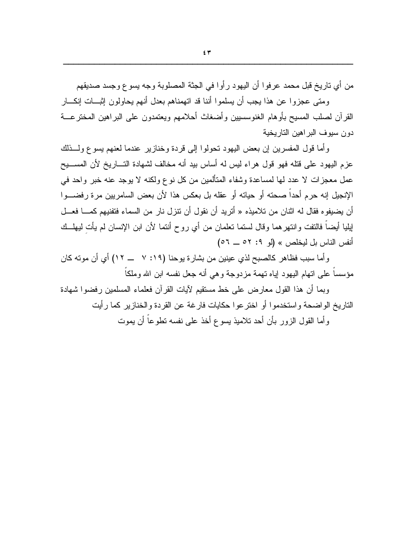ومتى عجزوا عن هذا يجب أن يسلموا أننا قد اتهمناهم بعدل أنهم يحاولون إثبسات إنكسار القرآن لصلب المسيح بأوهام الغنوسسبين وأضغاث أحلامهم ويعتمدون على البراهين المخترعـــة دون سيوف البر اهين التاريخية

و أما قول المفسرين إن بعض اليهود تحولوا إلى قردة وخنازير عندما لعنهم يسوع ولـــذلك عزم اليهود على قتله فهو قول هراء ليس له أساس بيد أنه مخالف لشهادة التساريخ لأن المســـيح عمل معجزات لا عدد لها لمساعدة وشفاء المتألمين من كل نوع ولكنه لا يوجد عنه خبر واحد في الإنجيل إنه حرم أحداً صحته أو حياته أو عقله بل بعكس هذا لأن بعض السامريين مرة رفضـــوا أن يضيفو ه فقال له اثنان من تلاميذه « أُتريد أن نقول أن تتزل نار من السماء فتفنيهم كمـــا فعــل لِيليا أيضـاً فالنفت وانتهرهما وقال لستما تعلمان من أي روح أنتما لأن ابن الإنسان لم يأت ليهلــك أنفس الناس بل ليخلص » (لو 1: ٥٢ ــ ٥٦)

وأما سبب فظاهر كالصبح لذي عينين من بشارة يوحنا (١٩: ٧ ـــ ١٢) أي أن موته كان مؤسساً على اتهام اليهود إياه نهمة مزدوجة وهي أنه جعل نفسه ابن الله وملكاً

وبما أن هذا القول معارض على خط مستقيم لآيات القرآن فعلماء المسلمين رفضوا شهادة النّار يخ الو اضحة و استخدمو ا أو اختر عو ا حكايات فار غة عن القر دة و الخناز پر كما ر أيت و أما القول الزور بأن أحد تلاميذ يسو ع أخذ على نفسه نطو عاً أن يموت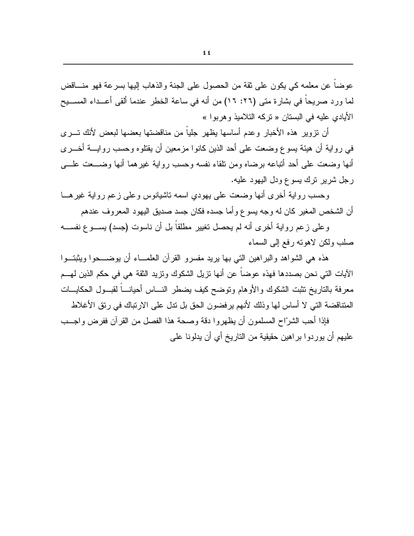عوضا عن معلمه كي يكون على ثقة من الحصول على الجنة والذهاب إليها بسرعة فهو منساقض لما ورد صريحا في بشارة متى (٢٦: ١٦) من أنه في ساعة الخطر عندما ألقي أعــداء المســـبح الأيادي عليه في البستان « تركه التلاميذ و هربوا »

أن نزوير هذه الأخبار وعدم أساسها يظهر جلياً من مناقضتها بعضها لبعض لأنك تسرى في رواية أن هيئة يسوع وضعت على أحد الذين كانوا مزمعين أن يقتلوه وحسب روايسة أخسري أنها وضعت علمي أحد أنباعه برضاه ومن نلقاء نفسه وحسب رواية غيرهما أنها وضـــعت علـــي رجل شرير نرك بسوع ودل اليهود عليه.

وحسب رواية أخرى أنها وضعت على يهودي اسمه ناشيانوس وعلى زعم رواية غيرهـــا أن الشخص المغير كان له وجه يسوع وأما جسده فكان جسد صديق اليهود المعروف عندهم

وعلى زعم رواية أخرى أنه لم يحصل تغيير مطلقاً بل أن ناسوت (جسد) بســـوع نفســـه صلب ولكن لاهونه رفع إلىي السماء

هذه هي الشواهد والبراهين التي بها يريد مفسرو القرآن العلمـــاء أن يوضــــحوا ويثبتـــوا الآيات التي نحن بصددها فهذه عوضاً عن أنها نزيل الشكوك ونزيد الثقة هي في حكم الذين لهـــم معرفة بالناريخ نثبت الشكوك والأوهام وتوضح كيف يضطر النساس أحيانـــاً لقبـــول الحكايـــات المتناقضة التي لا أساس لها وذلك لأنهم ير فضون الحق بل تدل على الار تباك في ر تق الأغلاط

فإذا أحب الشرّاح المسلمون أن يظهر وا دقة وصحة هذا الفصل من القر آن ففر ض واجــب عليهم أن يوردوا براهين حقيقية من التاريخ أي أن يدلونا على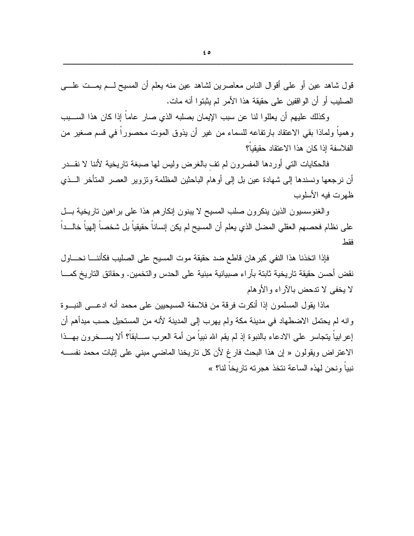$\epsilon$  0

قول شاهد عين أو على أقوال الناس معاصرين لشاهد عين منه يعلم أن المسيح لـــم يمـــت علــــي الصليب أو أن الواقفين على حقيقة هذا الأمر لم يثبتوا أنه مات.

وكذلك عليهم أن يعللوا لنا عن سبب الإيمان بصلبه الذي صارٍ عاما إذا كان هذا الســـبب وهمياً ولماذا بقى الاعتقاد بارتفاعه للسماء من غير أن يذوق الموت محصوراً في قسم صغير من الفلاسفة إذا كان هذا الاعتقاد حقبقباً؟

فالحكايات النتي أوردها المفسرون لم نف بالغرض وليس لمها صبغة ناريخية لأننا لا نقـــدر أن نرجعها ونسندها إلى شهادة عين بل إلى أوهام الباحثين المظلمة ونزوير العصر المتأخر الـــذي ظهرت فيه الأسلوب

والغنوسسيون الذين ينكرون صلب المسيح لا يبنون إنكارهم هذا على براهين ناريخية بسل على نظام فحصـهم الـعقلي المضل الذي يعلم أن المسيح لم يكن إنسانا حقيقيا بل شخصـا إلـهيا خالـــدا فقط

فإذا اتخذنا هذا النفي كبر هان قاطع ضد حقيقة موت المسيح على الصليب فكأننــــا نحــــاول نقض أحسن حقيقة تاريخية ثابتة بأراء صبيانية مبنية على الحدس والتخمين. وحقائق التاريخ كمـــا لا يخفى لا تدحض بالآر اء والأو هام

ماذا بقول المسلمون إذا أنكرت فرقة من فلاسفة المسبحبين على محمد أنه ادعــــى النيـــو ة و انه لم يحتمل الاضطهاد في مدينة مكة ولم يهر ب إلى المدينة لأنه من المستحيل حسب مبدأهم أن إعر ابياً يتجاسر ٍ على الادعاء بالنبوة إذ لم يقم الله نبياً من أمة العرب ســـابقاً؟ ألا يســـخر ون بهـــذا الاعتراض ويقولون « إن هذا البحث فار غ لأن كل تاريخنا الماضي مبنى على إثبات محمد نفســـه نبياً ونحن لهذه الساعة نتخذ هجرته تاريخاً لنا؟ »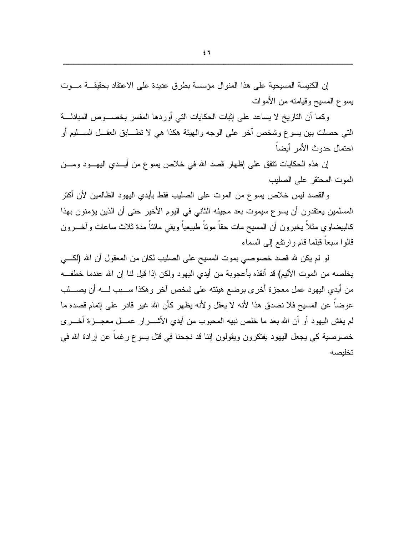إن الكنيسة المسيحية على هذا المنوال مؤسسة بطرق عديدة على الاعتقاد بحقيقـــة مـــوت يسوع المسيح وقيامته من الأموات

وكما أن الناريخ لا يساعد على إثبات الحكايات التي أوردها المفسر بخصـــوص المبادلـــة التبي حصلت بين يسوع وشخص آخر على الوجه والهيئة هكذا هي لا نطـــابق العقـــل الســـليم أو احتمال حدوث الأمر أبضاً

إن هذه الحكايات نتفق على إظهار قصد الله في خلاص يسوع من أيـــدي اليهـــود ومـــن الموت المحتقر على الصليب

والقصد ليس خلاص يسوع من الموت على الصليب فقط بأيدي اليهود الظالمين لأن أكثر المسلمين يعتقدون أن يسوع سيموت بعد مجيئه الثاني في اليوم الأخير حتى أن الذين يؤمنون بهذا كالبيضاوي مثلاً يخبرون أن المسيح مات حقاً موتاً طبيعياً وبقي مائناً مدة ثلاث ساعات وآخـــرون قالوا سبعاً قبلما قام وارتفع إلىي السماء

لو لم يكن لله قصد خصوصبي بموت المسيح على الصليب لكان من المعقول أن الله (لكـــي يخلصه من الموت الأليم) قد أنقذه بأعجوبة من أيدي اليهود ولكن إذا قيل لنا إن الله عندما خطفــه من أيدي اليهود عمل معجزة أخرى بوضع هيئته على شخص آخر وهكذا ســـبب لــــه أن يصــــلب عوضاً عن المسيح فلا نصدق هذا لأنه لا يعقل و لأنه يظهر كأن الله غير قادر ًعلى إتمام قصده ما لم يغش اليهود أو أن الله بعد ما خلص نبيه المحبوب من أيدي الأشـــر ار عمـــل معجـــز ة أخـــر ي خصوصية كي يجعل اليهود يفتكرون ويقولون إننا قد نجحنا في قتل يسوع رغماً عن إرادة الله في تخلبصه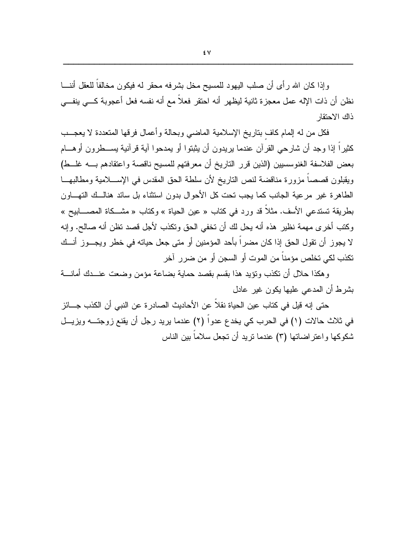وإذا كان الله رأى أن صلب اليهود للمسيح مخل بشرفه محقر له فيكون مخالفاً للعقل أننـــا نظن أن ذات الإله عمل معجزة ثانية ليظهر أنه احتقر فعلاً مع أنه نفسه فعل أعجوبة كـــي ينفـــي ذاك الاحتقار

فكل من له إلمام كاف بتاريخ الإسلامية الماضيي وبحالة وأعمال فرقها المتعددة لا يعجــب كثيراً إذا وجد أن شارحي القرآن عندما يريدون أن يثبتوا أو يمدحوا آية قرآنية يســطرون أوهـــام بعض الفلاسفة الغنوسسبين (الذين قرر الناريخ أن معرفتهم للمسيح ناقصة واعتقادهم بــــه غلـــط) ويقبلون قصصاً مزورة مناقضة لنص الناريخ لأن سلطة الحق المقدس في الإســــلامية ومطالبهـــا الطاهرة غير مرعية الجانب كما يجب تحت كل الأحوال بدون استثناء بل سائد هنالــك التهـــاون بطريقة تستدعى الأسف. مثلاً قد ورد في كتاب « عين الحياة » وكتاب « مشـــكاة المصــــابيح » وكتب أخرى مهمة نظير هذه أنه بحل لك أن تخفى الحق وتكذب لأجل قصد تظن أنه صالح. وإنه لا يجوز أن نقول الحق إذا كان مضراً بأحد المؤمنين أو متى جعل حياته في خطر ويجـــوز أنـــك تكذب لكي تخلص مؤمناً من الموت أو السجن أو من ضرر آخر

وهكذا حلال أن نكذب ونؤيد هذا بقسم بقصد حماية بضاعة مؤمن وضعت عنسدك أمانسة بشرط أن المدعى عليها يكون غير عادل

حتى إنه قيل في كتاب عين الحياة نقلاً عن الأحاديث الصادر ة عن النبي أن الكذب جـــائز في ثلاث حالات (١) في الحرب كي يخدع عدواً (٢) عندما يريد رجل أن يقنع زوجتــه ويزيـــل شكوكها واعتراضاتها (٣) عندما نريد أن نجعل سلاماً بين الناس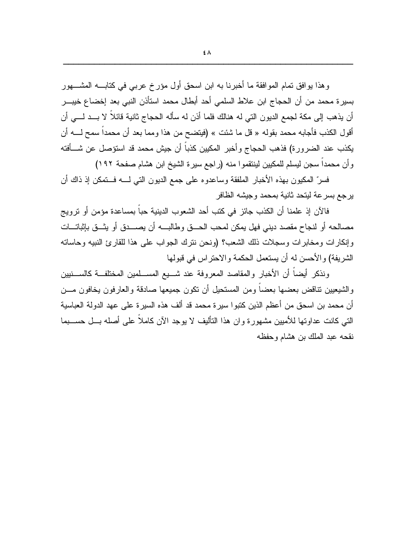و هذا يو افق تمام المو افقة ما أخبرنا به ابن اسحق أول مؤرخ عربي في كتابـــه المشــــهور بسير ة محمد من أن الحجاج ابن علاط السلمي أحد أبطال محمد استأذن النبي بعد إخضاع خيبـــر أن يذهب إلى مكة لجمع الديون التي له هنالك فلما أذن له سأله الحجاج ثانية قائلاً لا بــد لـــي أن أقول الكذب فأجابه محمد بقوله « قل ما شئت » (فيتضح من هذا ومما بعد أن محمداً سمح لـــــه أن يكذب عند الضرورة) فذهب الحجاج وأخبر المكيين كذباً أن جيش محمد قد استؤصل عن شـــأفته وأن محمداً سجن ليسلم للمكيين لينتقموا منه (راجع سيرة الشيخ ابن هشام صفحة ١٩٢)

فسرٌ المكبون بهذه الأخبار الملفقة وساعدوه على جمع الديون التي لــــه فـــتمكن إذ ذاك أن يرجع بسرعة ليتحد ثانية بمحمد وجيشه الظافر

فالآن إذ علمنا أن الكذب جائز في كتب أحد الشعوب الدينية حباً بمساعدة مؤمن أو نزويج مصالحه أو لنجاح مقصد ديني فهل يمكن لمحب الحـــق وطالبــــه أن يصــــدق أو يثـــق بإثباتـــات وإنكارات ومخابرات وسجلات ذلك الشعب؟ (ونحن ننرك الجواب على هذا للقارئ النبيه وحاساته الشريفة) والأحسن له أن يستعمل الحكمة والاحتراس في فبولها

ونذكر أيضآ أن الأخبار والمقاصد المعروفة عند شـــبع المســـلمين المختلفــة كالســـنيين والشيعيين نتاقض بعضها بعضاً ومن المستحيل أن نكون جميعها صادقة والعارفون يخافون مـــن أن محمد بن اسحق من أعظم الذين كتبوا سير ة محمد قد ألف هذه السير ة على عهد الدولة العباسية التي كانت عداوتها للأميين مشهور ة و ان هذا التأليف لا يوجد الآن كاملاً على أصله بـــل حســـبما نقحه عبد الملك بن هشام وحفظه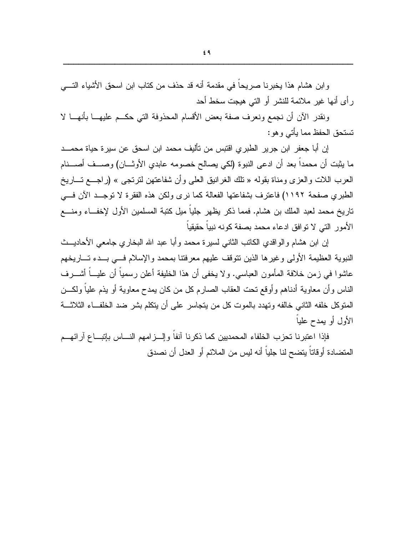وابن هشام هذا يخبرنا صريحاً في مقدمة أنه قد حذف من كتاب ابن اسحق الأشياء التــــي رِ أي أنها غيرٍ ملائمة للنشرِ أو التي هيجت سخط أحد

ونقدر الآن أن نجمع ونعرف صفة بعض الأقسام المحذوفة التي حكــم عليهـــا بأنهـــا لا تستحق الحفظ مما يأتي وهو :

إن أبا جعفر ٍ ابن جرير ِ الطبرِ ي اقتبس من تأليف محمد ابن اسحق عن سيرٍ ة حياة محمـــد ما يثبت أن محمداً بعد أن ادعى النبوة (لكي يصالح خصومه عابدي الأوثـــان) وصـــف أصــــنام العرب اللات والعزي ومناة بقوله « تلك الغرانيق العلي وأن شفاعتهن لترتجي » (راجـــع تـــاريخ الطبري صفحة ١١٩٢) فاعترف بشفاعتها الفعالة كما نرى ولكن هذه الفقرة لا توجــد الآن فـــى تاريخ محمد لعبد الملك بن هشام. فمما ذكر يظهر جلياً ميل كتبة المسلمين الأول لإخفــاء ومنــــع الأمور التي لا توافق ادعاء محمد بصفة كونه نبباً حقبقباً

إن ابن هشام والواقدي الكاتب الثانبي لسيرة محمد وأبا عبد الله البخاري جامعي الأحاديـــث النبوية العظيمة الأولى وغيرها الذين نتوقف عليهم معرفتنا بمحمد والإسلام فسي بسدء تساريخهم عاشوا في زمن خلافة المأمون العباسي. ولا يخفي أن هذا الخليفة أعلن رسمياً أن عليـــاً أشــــرف الناس وأن معاوية أدناهم وأوقع نحت العقاب الصارم كل من كان بمدح معاوية أو يذم علياً ولكـــن المتوكل خلفه الثاني خالفه وتهدد بالموت كل من يتجاسر على أن يتكلم بشر ضد الخلف|ء الثلاثـــة الأول أو بمدح علباً

فإذا اعتبر نا تحز ب الخلفاء المحمديين كما ذكر نا آنفاً و إلـــز امـهم النــــاس بإتبـــاع آر ائـهـــم المتضادة أوقاتاً بِتضح لنا جلياً أنه ليس من الملائم أو العدل أن نصدق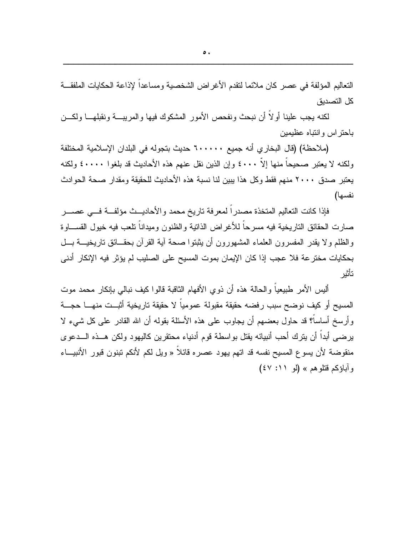لكنه يجب علينا أولاً أن نبحث ونفحص الأمور المشكوك فيها والمريبسة ونقبلهسا ولكسن باحتراس وانتباه عظيمين

(ملاحظة) (قال البخار ي أنه جميع ٦٠٠٠٠٠ حديث بتجوله في البلدان الإسلامية المختلفة ولكنه لا يعتبر صحيحاً منها إلاّ ٤٠٠٠ وإن الذين نقل عنهم هذه الأحاديث قد بلغوا ٤٠٠٠٠ ولكنه يعتبر صدق ٢٠٠٠ منهم فقط وكل هذا يبين لنا نسبة هذه الأحاديث للحقيقة ومقدار صحة الحوادث نفسها)

فإذا كانت التعاليم المتخذة مصدراً لمعرفة تاريخ محمد والأحاديــث مؤلفـــة فـــي عصــــر صارت الحقائق الناريخية فيه مسرحاً للأغراض الذانية والظنون وميداناً نلعب فيه خيول القســـاوة والظلم ولا يقدر المفسرون العلماء المشهورون أن بثبتوا صحة آية القرآن بحقــائق ناريخيـــة بـــل بحكايات مخترعة فلا عجب إذا كان الإيمان بموت المسيح على الصليب لم يؤثر فيه الإنكار أدنى تأثير

ألبس الأمر طبيعياً والحالة هذه أن ذوى الأفهام الثاقبة فالوا كيف نبالي بإنكار محمد موت المسيح أو كيف نوضح سبب رفضه حقيقة مقبولة عمومياً لا حقيقة تاريخية أثبــت منهـــا حجـــة وأرسخ أساساً؟ قد حاول بعضهم أن يجاوب على هذه الأسئلة بقوله أن الله القادر على كل شيء لا يرضيي أبداً أن يترك أحب أنبيائه يقتل بواسطة قوم أدنياء محتقرين كاليهود ولكن هــذه الـــدعوى منقوضة لأن يسوع المسيح نفسه قد اتهم يهود عصره قائلاً « ويل لكم لأنكم تبنون قبور الأنبيــاء وآباؤكم قتلوهم» (لو ٤٧: ٤٧)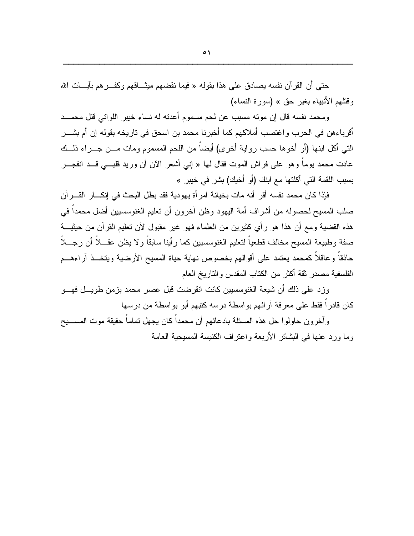حتى أن القرآن نفسه بصادق على هذا بقوله « فيما نقضهم ميثـــاقهم وكفـــر هم بآيــــات الله وقتلهم الأنبياء بغير حق » (سورة النساء)

ومحمد نفسه قال إن مونه مسبب عن لحم مسموم أعدنه له نساء خببر اللواتي قتل محمـــد أقرباءهن في الحرب واغتصب أملاكهم كما أخبرنا محمد بن اسحق في تاريخه بقوله إن أم بشـــر التي أكل ابنها (أو أخوها حسب رواية أخرى) أيضاً من اللحم المسموم ومات مـــن جـــراء ذلـــك عادت محمد بوما وهو على فراش الموت فقال لها « إني أشعر الآن أن وريد قلبـــي قـــد انفجـــر بسبب اللقمة التي أكلتها مع ابنك (أو أخيك) بشر في خيبر »

فإذا كان محمد نفسه أقر أنه مات بخيانة امر أة يهودية فقد بطل البحث في إنكـــار القــــرآن صلب المسيح لحصوله من أشراف أمة اليهود وظن آخرون أن نعليم الغنوسسيين أضل محمداً في هذه القضية ومع أن هذا هو رأى كثيرين من العلماء فهو غير مقبول لأن تعليم القرآن من حيثيـــة صفة وطبيعة المسيح مخالف قطعياً لتعليم الغنوسسيين كما رأينا سابقاً ولا يظن عقـــلاً أن رجـــلاً حاذقاً وعاقلاً كمحمد يعتمد على أقوالهم بخصوص نهاية حياة المسيح الأرضية ويتخـــذ آراءهـــم الفلسفية مصدر نقة أكثر من الكتاب المقدس والتاريخ العام

وزد على ذلك أن شيعة الغنوسسيين كانت انقرضت قبل عصر محمد بزمن طويـــل فهـــو كان قادر اً فقط على معر فة آر ائهم بو اسطة در سه كتبهم أبو بو اسطة من در سها

و آخر و ن حاو لو ا حل هذه المسئلة بادعائهم أن محمداً كان يجهل تماماً حقيقة موت المســـبح وما ورد عنها في البِشائر الأربعة واعتر اف الكنيسة المسيحية العامة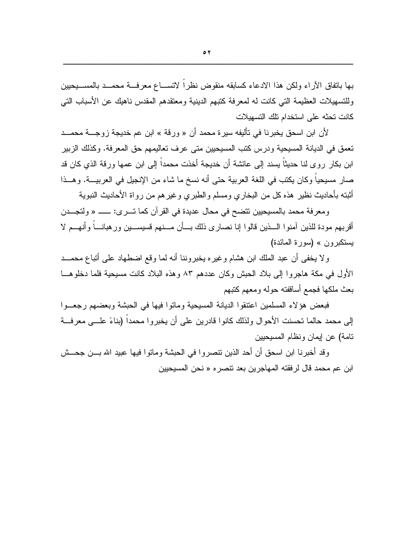بها باتفاق الآراء ولكن هذا الادعاء كسابقه منقوض نظرا لاتســاع معرفـــة محمـــد بالمســـيحيين وللتسهيلات العظيمة التبي كانت له لمعرفة كتبهم الدينية ومعتقدهم المقدس ناهيك عن الأسباب التبي كانت تحثه على استخدام تلك التسهيلات

لأن ابن اسحق يخبرنا في تأليفه سيرة محمد أن « ورقة » ابن عم خديجة زوجــــة محمـــد تعمق في الديانة المسيحية ودرس كتب المسيحيين متى عرف تعاليمهم حق المعرفة. وكذلك الزبير ابن بكار روحٍ لنا حديثاً يسند إلى عائشة أن خديجة أخذت محمداً إلى ابن عمها ورقة الذي كان قد صار مسيحياً وكان يكتب في اللغة العربية حتى أنه نسخ ما شاء من الإنجيل في العربيـــة. وهـــذا أثبته بأحاديث نظير هذه كل من البخاري ومسلم والطبري وغيرهم من رواة الأحاديث النبوية

ومعرفة محمد بالمسيحيين تتضح في محال عديدة في القرآن كما تـــرى: ــــــ « ولتجـــدن أقربهم مودة للذين آمنو ا الـــذين قالو ا إنا نصار ي ذلك بـــأن مـــنهم فسيســـين و ر هبانــــاً و أنهـــم لا يستكبرون » (سورة المائدة)

ولا يخفي أن عبد الملك ابن هشام وغيره يخبروننا أنه لما وقع اضطهاد على أتباع محمـــد الأول في مكة هاجروا إلى بلاد الحبش وكان عددهم ٨٣ وهذه البلاد كانت مسيحية فلما دخلوهـــا بعث ملكها فجمع أساقفته حوله ومعهم كتبهم

فبعض هؤ لاء المسلمين اعتنقوا الديانة المسيحية وماتوا فيها في الحبشة وبعضهم رجعــوا إلى محمد حالما تحسنت الأحوال ولذلك كانوا قادرين على أن يخبروا محمداً (بناءً علـــي معرفـــة تامة) عن إيمان ونظام المسيحيين

وقد أخبرنا ابن اسحق أن أحد الذين تتصروا في الحبشة وماتوا فيها عبيد الله بـــن جحـــش ابن عم محمد قال لر فقته المهاجرين بعد نتصر ِه « نحن المسيحيين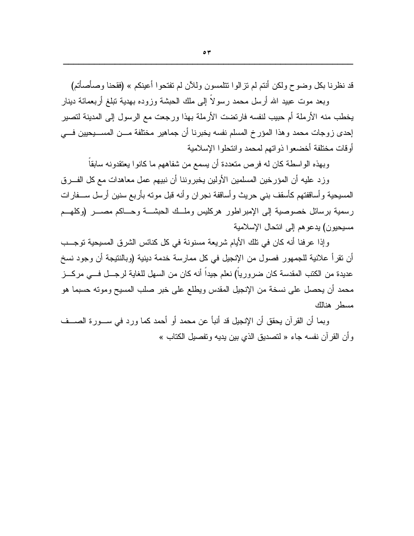قد نظرنا بكل وضوح ولكن أنتم لم تز الو ا تتلمسون وللآن لم تفتحو ا أعينكم » (فقحنا وصأصأتم)

وبعد موت عبيد الله أرسل محمد رسولاً إلى ملك الحبشة وزوده بهدية نبلغ أربعمائة دينار يخطب منه الأرملة أم حبيب لنفسه فارتضت الأرملة بهذا ورجعت مع الرسول إلى المدينة لتصير إحدى زوجات محمد وهذا المؤرخ المسلم نفسه يخبرنا أن جماهير مختلفة مــن المســـيحيين فـــي أوقات مختلفة أخضعوا ذواتهم لمحمد وانتحلوا الإسلامية

وبهذه الواسطة كان له فرص متعددة أن يسمع من شفاههم ما كانو ا يعتقدونه سابقاً

وز د عليه أن المؤرخين المسلمين الأولين يخبر وننا أن نبيهم عمل معاهدات مع كل الفــرق المسيحية وأساقفتهم كأسقف بنبي حريث وأساقفة نجران وأنه قبل موته بأربع سنين أرسل ســـفارات رسمية برسائل خصوصية إلى الإمبراطور هركليس وملسك الحبشة وحساكم مصسر (وكلهم مسبحبون) بدعو هم إلى انتحال الإسلامية

وإذا عرفنا أنه كان في نلك الأيام شريعة مسنونة في كل كنائس الشرق المسيحية توجــب أن نقر أ علانية للجمهور فصول من الإنجيل في كل ممارسة خدمة دينية (وبالنتيجة أن وجود نسخ عديدة من الكتب المقدسة كان ضرورياً) نعلم جيداً أنه كان من السهل للغاية لرجـــل فـــي مركـــز محمد أن يحصل على نسخة من الإنجيل المقدس ويطلع على خبر صلب المسيح ومونه حسبما هو مسطر هنالك

وبما أن القرآن يحقق أن الإنجيل قد أنبأ عن محمد أو أحمد كما ورد في ســـورة الصـــف و أن القر آن نفسه جاء « لتصديق الذي بين يديه و تفصيل الكتاب »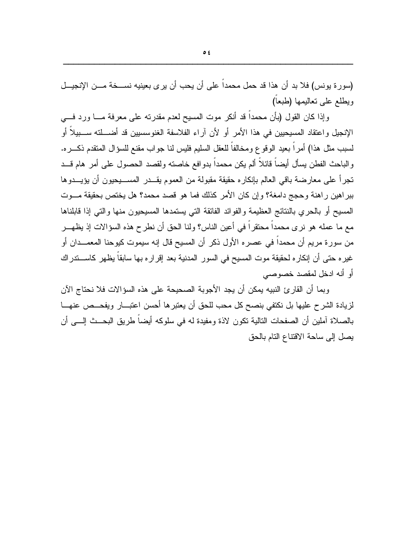(سوررة يونس) فلا بد أن هذا قد حمل محمداً على أن يحب أن يرى بعينيه نســـخة مـــن الإنجيـــل ويطلع على تعاليمها (طبعا)

وإذا كان القول (بأن محمداً قد أنكر موت المسيح لعدم مقدرته على معرفة مـــا ورد فـــي الإنجيل و اعتقاد المسيحيين في هذا الأمر أو لأن آراء الفلاسفة الغنوسسيين قد أضــــلته ســـبيلاً أو لسبب مثل هذا) أمراً بعيد الوقوع ومخالفاً للعقل السليم فليس لنا جواب مقنع للسؤال المنقدم ذكـــره. و الباحث الفطن يسأل أيضاً قائلاً ألم يكن محمداً بدو افع خاصته ولقصد الحصول على أمر ٍ هام قـــد تجرأ على معارضة باقي العالم بإنكاره حقيقة مقبولة من العموم يقــدر المســـبحبون أن يؤيـــدوها ببراهين راهنة وحجج دامغة؟ وإن كان الأمر كذلك فما هو قصد محمد؟ هل يختص بحقيقة مـــوت المسيح أو بالحرى بالنتائج العظيمة والفوائد الفائقة التبي يستمدها المسيحيون منها والتبي إذا قابلناها مع ما عمله هو نرى محمداً محتقراً في أعين الناس؟ ولنا الحق أن نطرح هذه السؤالات إذ يظهـــر من سورة مريم أن محمداً في عصره الأول ذكر أن المسيح قال إنه سيموت كيوحنا المعمــدان أو غيره حتى أن إنكاره لحقيقة موت المسيح في السور المدنية بعد إقراره بها سابقاً يظهر كاســـتدراك أو أنه ادخل لمقصد خصوصيي

وبما أن القار ئ النبيه بمكن أن يجد الأجوبة الصحيحة على هذه السؤالات فلا نحتاج الآن لزيادة الشرح عليها بل نكتفي بنصح كل محب للحق أن يعتبرها أحسن اعتبـــار ويفحـــص عنهـــا بالصلاة آملين أن الصفحات التالية تكون لاذة ومفيدة له في سلوكه أيضاً طريق البحــث إلـــي أن يصل إلى ساحة الاقتناع النام بالحق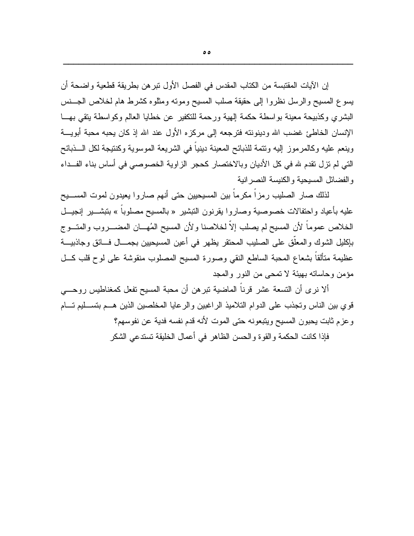إن الآيات المقتبسة من الكتاب المقدس في الفصل الأول نبر هن بطريقة قطعية و اضحة أن يسوع المسيح والرسل نظروا إلى حقيقة صلب المسيح ومونه ومثلوه كشرط هام لخلاص الجسنس البشري وكذبيحة معينة بواسطة حكمة إلهية ورحمة للتكفير عن خطايا العالم وكواسطة يتقى بهــا الإنسان الخاطئ غضب الله ودينونته فترجعه إلى مركزه الأول عند الله إذ كان يحبه محبة أبويـــة وينعم عليه وكالمرموز إليه ونتمة للذبائح المعينة دينياً في الشريعة الموسوية وكنتيجة لكل الـــذبائح التبي لم تزل نقدم لله في كل الأديان وبالاختصار كحجر الزاوية الخصوصبي في أساس بناء الفــداء والفضائل المسيحية والكنيسة النصر انية

لذلك صار الصليب رمزا مكرما بين المسيحيين حتى أنهم صاروا يعيدون لموت المســـيح عليه بأعياد واحتفالات خصوصية وصاروا بقرنون النبشير « بالمسيح مصلوبا » بنبشــــير إنـجيـــل الخلاص عموماً لأن المسيح لم يصلب إلاَّ لخلاصنا و لأن المسيح المُهـــان المضــــروب والمتـــوج بإكليل الشوك والمعلق على الصليب المحتقر يظهر في أعين المسيحيين بجمـــال فـــائق وجاذبيــــة عظيمة متألقاً بشعاع المحبة الساطع النقي وصورة المسيح المصلوب منقوشة على لوح قلب كـــل مؤمن وحاساته بهيئة لا نمحي من النور والمجد

ألا نرى أن التسعة عشر قرناً الماضية تبرهن أن محبة المسيح تفعل كمغناطيس روحـــي قوي بين الناس وتجذب على الدوام التلاميذ الراغبين والرعايا المخلصين الذين هـم بتســليم تـــام وعزم ثابت بحبون المسيح ويتبعونه حتى الموت لأنه قدم نفسه فدية عن نفوسهم؟

فإذا كانت الحكمة و القو ة و الحسن الظاهر في أعمال الخليقة تستدعى الشكر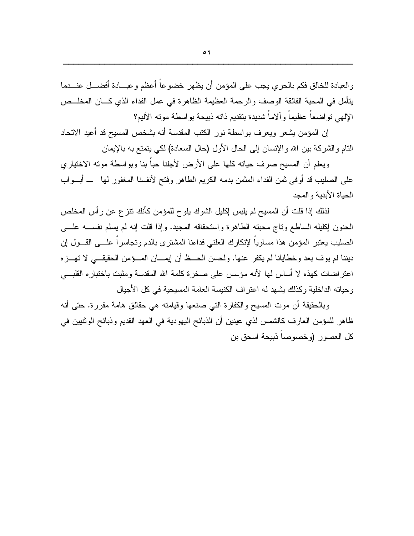والعبادة للخالق فكم بالحرى يجب على المؤمن أن يظهر خضوعاً أعظم وعبسادة أفضـــل عنـــدما بِتَأْمِلٍ في المحبة الفائقة الوصف والرحمة العظيمة الظاهرة في عمل الفداء الذي كـــان المخلـــص الإلهي تواضعاً عظيماً وألاماً شديدة بتقديم ذاته ذبيحة بواسطة موته الأليم؟

إن المؤمن يشعر ويعرف بواسطة نور الكتب المقدسة أنه بشخص المسيح قد أعيد الاتحاد النام والشركة بين الله والإنسان إلى الحال الأول (حال السعادة) لكي بتمتع به بالإيمان

ويعلم أن المسيح صرف حياته كلها على الأرض لأجلنا حباً بنا وبواسطة مونه الاختياري على الصليب قد أوفى ثمن الفداء المثمن بدمه الكريم الطاهر وفتح لأنفسنا المغفور لها ـــ أبـــواب الحياة الأبدية والمجد

لذلك إذا قلت أن المسيح لم يلبس إكليل الشوك يلوح للمؤمن كأنك نتزع عن رأس المخلص الحنون إكليله الساطع وناج محبنه الطاهرة واستحقاقه المجيد. وإذا قلت إنه لم يسلم نفســـه علــــى الصليب يعتبر المؤمن هذا مساويا لإنكارك العلني فداءنا المشترى بالدم وتجاسرا علسى القسول إن ديننا لم يوف بعد وخطايانا لم يكفر عنها. ولحسن الحــظ أن إيمـــان المـــؤمن الحقيقـــي لا نهـــزه اعتر اضات كهذه لا أساس لها لأنه مؤسس على صخرة كلمة الله المقدسة ومثبت باختباره القلبـــي وحياته الداخلية وكذلك يشهد له اعتراف الكنيسة العامة المسيحية في كل الأجيال

وبالحقيقة أن موت المسيح والكفارة التي صنعها وقيامته هي حقائق هامة مقررة. حتى أنه ظاهر للمؤمن العارف كالشمس لذي عينين أن الذبائح اليهودية في العهد القديم وذبائح الوثنيين في كل العصور (وخصوصاً ذبيحة اسحق بن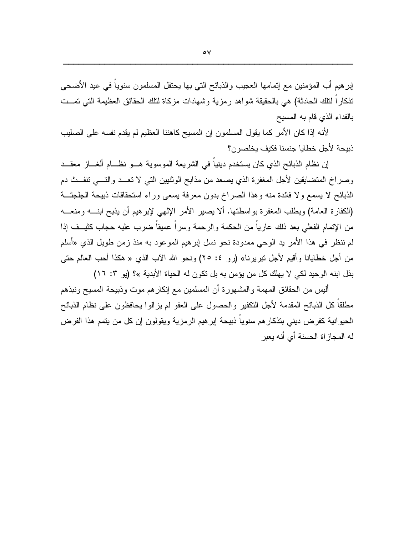إبر هيم أب المؤمنين مع إنمامها العجيب والذبائح التي بها يحتفل المسلمون سنوياً في عيد الأضحى نذكارًا لنلك الحادثة) هي بالحقيقة شواهد رمزية وشهادات مزكاة لنلك الحقائق العظيمة التي نمــت بالفداء الذي قام به المسيح

لأنه إذا كان الأمر كما يقول المسلمون إن المسيح كاهننا العظيم لم يقدم نفسه على الصليب ذبيحة لأجل خطايا جنسنا فكيف يخلصون؟

إن نظام الذبائح الذي كان يستخدم دينيا في الشريعة الموسوية هـــو نظـــام ألغـــاز معقـــد وصراخ المتضايقين لأجل المغفرة الذي يصعد من مذابح الوثنيين التي لا تعــد والتـــي نتفــث دم الذبائح لا يسمع ولا فائدة منه وهذا الصراخ بدون معرفة يسعى وراء استحقاقات ذبيحة الجلجثة (الكفارة العامة) ويطلب المغفرة بواسطتها. ألا يصير الأمر الإلهي لإبرهيم أن يذبح ابنــــه ومنعــــه من الإتمام الفعلي بعد ذلك عارياً من الحكمة والرحمة وسراً عميقاً ضرب عليه حجاب كثيــف إذا لم ننظر في هذا الأمر بد الوحي ممدودة نحو نسل ابر هيم الموعود به منذ زمن طويل الذي «أسلم من أجل خطايانا وأقيم لأجل نبريرنا» (رو ٤: ٢٥) ونحو الله الآب الذي « هكذا أحب العالم حتى بذل ابنه الوحيد لكي لا يهلك كل من يؤمن به بل تكون له الحياة الأبدية »؟ (يو ٣: ١٦)

ألبس من الحقائق المهمة والمشهورة أن المسلمين مع إنكارهم موت وذبيحة المسيح ونبذهم مطلقاً كل الذبائح المقدمة لأجل التكفير والحصول على العفو لم يز الو ا يحافظون على نظام الذبائح الحيوانية كفرض ديني بتذكار هم سنوياً ذبيحة إبر هيم الرمزية ويقولون إن كل من يتمم هذا الفرض له المجاز اة الحسنة أي أنه يعبر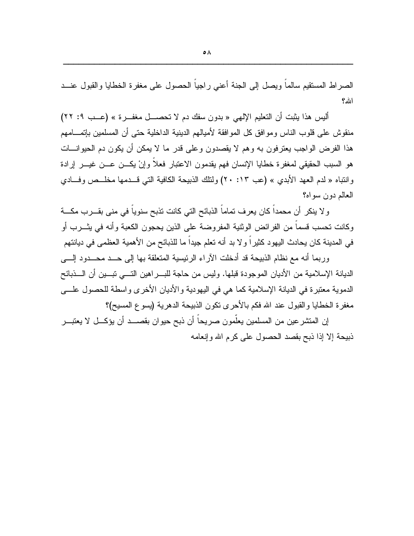الصراط المستقيم سالما ويصل إلى الجنة أعنى راجيا الحصول على مغفرة الخطايا والقبول عنــد الله؟

أليس هذا يثبت أن التعليم الإلهي « بدون سفك دم لا تحصـــل مغفـــرة » (عــب ٩: ٢٢) منقوش على قلوب الناس ومو افق كل المو افقة لأميالهم الدينية الداخلية حتى أن المسلمين بإتمـــامهم هذا الفرض الواجب يعترفون به وهم لا يقصدون وعلى قدر ما لا يمكن أن يكون دم الحيوانـــات هو السبب الحقيقي لمغفرة خطايا الإنسان فهم يقدمون الاعتبار فعلا وإنْ يكـــن عـــن غيـــر إرادة وانتباه « لدم العهد الأبدي » (عب ١٣: ٢٠) ولتلك الذبيحة الكافية التي قــدمها مخلــص وفـــادي العالم دون سواه؟

و لا ينكر أن محمداً كان يعرف تماماً الذبائح التي كانت تذبح سنوياً في مني بقـــرب مكـــة وكانت تحسب قسما من الفرائض الوثنية المفروضة على الذين يحجون الكعبة وأنه في يثـــرب أو في المدينة كان يحادث اليهود كثيراً و لا بد أنه تعلم جيداً ما للذبائح من الأهمية العظمى في ديانتهم

وربما أنه مع نظام الذبيحة قد أدخلت الآراء الرئيسية المتعلقة بها إلى حــد محــدود إلــــى الديانة الإسلامية من الأديان الموجودة قبلها. وليس من حاجة للبــــراهين التـــــى تبــــين أن الــــذبائح الدموية معتبرة في الديانة الإسلامية كما هي في اليهودية والأديان الأخرى واسطة للحصول علـــي مغفر ة الخطايا و القبول عند الله فكم بالأحر ي نكون الذبيحة الدهرية (يسوع المسيح)؟

إن المتشر عين من المسلمين يعلّمون صريحاً أن ذبح حيوان بقصـــد أن يؤكـــل لا يعتبـــر ذبيحة إلا إذا ذبح بقصد الحصول على كر م الله وإنعامه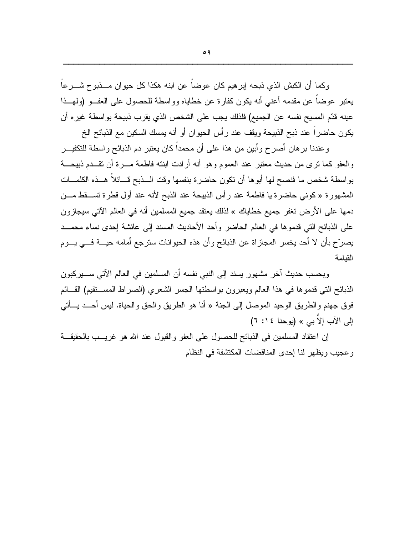وكما أن الكبش الذي ذبحه إبر هيم كان عوضا عن ابنه هكذا كل حيوان مـــذبوح شـــرعا يعتبر عوضاً عن مقدمه أعني أنه يكون كفارة عن خطاياه وواسطة للحصول على العفــو (ولمهــذا عينه قدّم المسيح نفسه عن الجميع) فلذلك يجب على الشخص الذي يقرب ذبيحة بواسطة غيره أن يكون حاضراً عند ذبح الذبيحة ويقف عند رأس الحيوان أو أنه يمسك السكين مع الذبائح الخ

وعندنا بر هان أصرح وأبين من هذا على أن محمداً كان يعتبر دم الذبائح واسطة للتكفيــر والعفو كما نرى من حديث معتبر عند العموم وهو أنه أرادت ابنته فاطمة مـــرة أن نقـــدم ذبيحـــة بواسطة شخص ما فنصح لها أبوها أن نكون حاضرة بنفسها وقت السذبح قسائلاً هسذه الكلمسات المشهورة « كونبي حاضرة يا فاطمة عند رأس الذبيحة عند الذبح لأنه عند أول قطرة تســـقط مـــن دمها على الأرض تغفر جميع خطاياك » لذلك يعتقد جميع المسلمين أنه في العالم الآتي سيجازون على الذبائح التي قدموها في العالم الحاضر وأحد الأحاديث المسند إلى عائشة إحدى نساء محمــد يصرِّح بأن لا أحد يخسر المجازاة عن الذبائح وأن هذه الحيوانات سترجع أمامه حيــــة فــــى يــــوم القيامة

وبحسب حديث آخر مشهور يسند إلى النبي نفسه أن المسلمين في العالم الآتي ســـيركبون الذبائح التبي قدموها في هذا العالم ويعبرون بواسطتها الجسر الشعرى (الصراط المســنقيم) القـــائم فو ق جهنم و الطريق الوحيد الموصل إلى الجنة « أنا هو الطريق و الحق و الحياة. ليس أحــد يـــأتي  $(7:12)$  إِلَي الآب إِلاَّ بِي » (يو حنا ١٤: ٦)

إن اعتقاد المسلمين في الذبائح للحصول على العفو والقبول عند الله هو غريـب بالحقيقــة وعجيب ويظهر لنا إحدى المناقضات المكتشفة في النظام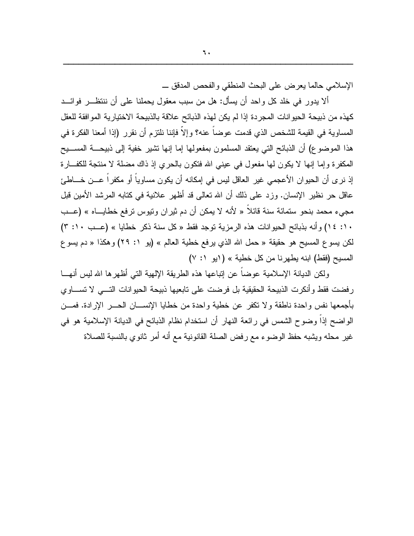الإسلامي حالما يعرض على البحث المنطقي والفحص المدقق ـــ

ألا يدور في خلد كل واحد أن يسأل: هل من سبب معقول يحملنا على أن ننتظـــر فوائـــد كهذه من ذبيحة الحيوانات المجردة إذا لم يكن لهذه الذبائح علاقة بالذبيحة الاختيارية الموافقة للعقل المساوية في القيمة للشخص الذي قدمت عوضاً عنه؟ وإلاّ فإننا نلتزم أن نقرر (إذا أمعنا الفكرة في هذا الموضوع) أن الذبائح التي يعتقد المسلمون بمفعولها إما إنها نشير خفية إلى ذبيحـــة المســــيح المكفرة وإما إنها لا يكون لمها مفعول في عيني الله فتكون بالحري إذ ذاك مضلة لا منتجة للكف/رة إذ نرى أن الحيوان الأعجمي غير العاقل ليس في إمكانه أن يكون مساوياً أو مكفراً عـــن خـــاطئ عاقل حر نظير الإنسان. وزد على ذلك أن الله نعالى قد أظهر علانية في كتابه المرشد الأمين قبل مجيء محمد بنحو ستمائة سنة قائلاً « لأنه لا يمكن أن دم ثيران وتيوس ترفع خطايـــاه » (عــب ١٠: ١٤) وأنه بذبائح الحيوانات هذه الرمزية توجد فقط « كل سنة ذكر خطايا » (عـب ١٠: ٣) لكن يسوع المسيح هو حقيقة « حمل الله الذي يرفع خطية العالم » (يو ١: ٢٩) وهكذا « دم يسوع المسيح (فقط) ابنه يطهرنا من كل خطية » (ابو ١: ٧)

ولكن الديانة الإسلامية عوضا عن إنباعها هذه الطريقة الإلهية التي أظهرها الله ليس أنهـــا رفضت فقط وأنكرت الذبيحة الحقيقية بل فرضت على تابعيها ذبيحة الحيوانات التسي لا تســـاوي بأجمعها نفس واحدة ناطقة ولا نكفر عن خطية واحدة من خطايا الإنســـان الحــــر الإرادة. فمـــن الواضح إذاً وضوح الشمس في رائعة النهار أن استخدام نظام الذبائح في الديانة الإسلامية هو في غير محله ويشبه حفظ الوضوء مع رفض الصلة القانونية مع أنه أمر ثانوي بالنسبة للصلاة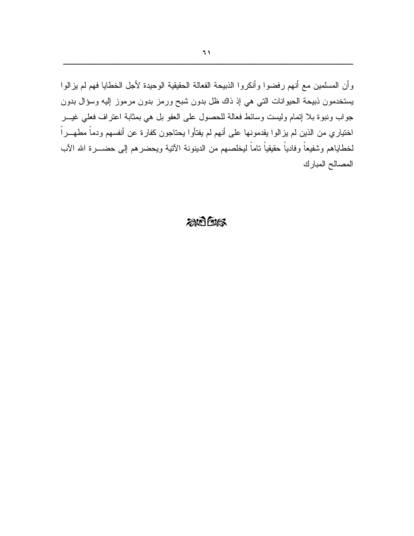وأن المسلمين مع أنهم رفضوا وأنكروا الذبيحة الفعالة الحقيقية الوحيدة لأجل الخطايا فهم لم يزالوا يستخدمون ذبيحة الحيوانات التي هي إذ ذاك ظل بدون شبح ورمز بدون مرموز إليه وسؤال بدون جواب ونبوة بلا إنمام وليست وسائط فعالة للحصول على العفو بل هي بمثابة اعتراف فعلي غيـــر اختياري من الذين لم يزالوا يقدمونها على أنهم لم يفتأوا يحتاجون كفارة عن أنفسهم ودماً مطهـــراً لخطاياهم وشفيعاً وفادياً حقيقياً تاماً ليخلصهم من الدينونة الآنية ويحضرهم إلى حضــــرة الله الآب المصالح المبارك

### $2005$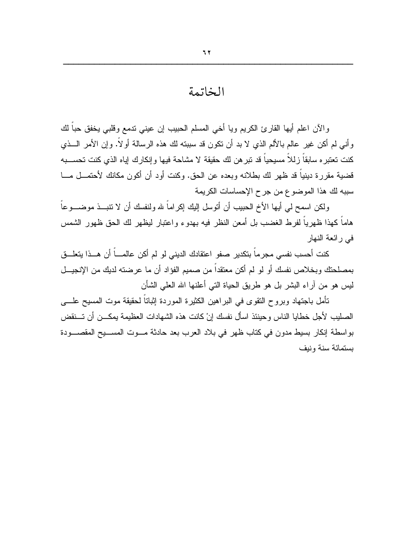### الخاتمة

والآن اعلم أبها القارئ الكريم ويا أخي المسلم الحبيب إن عيني ندمع وقلبي يخفق حباً لك وأنبي لم أكن غير عالم بالألم الذي لا بد أن نكون قد سببته لك هذه الرسالة أو لاً. وإن الأمر الـــذي كنت تعتبر ه سابقاً زللاً مسيحياً قد تبر هن لك حقيقة لا مشاحة فيها وإنكارك إياه الذي كنت تحســـبه قضية مقررة دينياً قد ظهر لك بطلانه وبعده عن الحق. وكنت أود أن أكون مكانك لأحتمـــل مـــا سببه لك هذا الموضوع من جرح الإحساسات الكريمة

ولكن اسمح لمي أيها الأخ الحبيب أن أتوسل إليك إكراماً لله ولنفسك أن لا نتبـــذ موضــــوعاً هاماً كهذا ظهرياً لفرط الغضب بل أمعن النظر فيه بهدوء واعتبار ليظهر لك الحق ظهور الشمس في ر ائعة النهار

كنت أحسب نفسي مجرماً بتكدير صفو اعتقادك الديني لو لم أكن عالمـــاً أن هـــذا يتعلـــق بمصلحتك وبخلاص نفسك أو لو لم أكن معتقداً من صميم الفؤاد أن ما عرضته لديك من الإنجيـــل ليس هو من أراء البشر بل هو طريق الحياة التي أعلنها الله العلي الشأن

نَأمل باجتهاد وبروح النقوى في البراهين الكثيرة الموردة إثباتاً لـحقيقة موت المسيح علــــي الصليب لأجل خطايا الناس وحينئذ اسأل نفسك إنْ كانت هذه الشهادات العظيمة يمكـــن أن تـــنقض بواسطة إنكار بسيط مدون في كتاب ظهر في بلاد العرب بعد حادثة مـــوت المســـيح المقصــــودة بستمائة سنة ونبف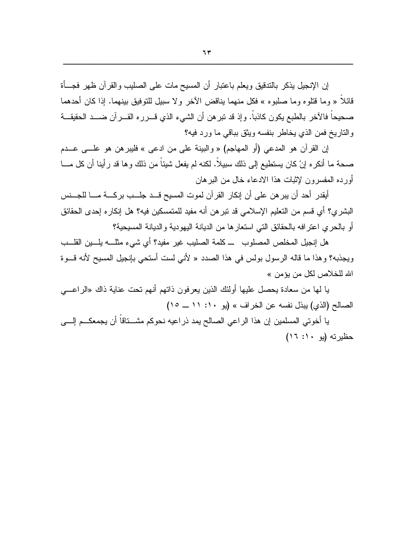إن الإنجيل يذكر بالندقيق ويعلم باعتبار أن المسيح مات على الصليب والقرآن ظهر فجسأة قائلا « وما قتلوه وما صلبوه » فكل منهما يناقض الآخر و لا سبيل للتوفيق بينهما. إذا كان أحدهما صحيحاً فالآخر بالطبع يكون كانباً. وإذ قد نبر هن أن الشيء الذي قـــرره القـــرآن ضـــد الـحقيقـــة والناريخ فمن الذي يخاطر بنفسه ويثق بباقى ما ورد فيه؟

إن القرآن هو المدعى (أو المهاجم) « والبينة على من ادعى » فليبر هن هو علـــى عـــدم صحة ما أنكر ه إنْ كان يستطيع إلى ذلك سبيلا. لكنه لم يفعل شيئا من ذلك و ها قد ر أينا أن كل مـــا أورده المفسرون لإثبات هذا الادعاء خال من البرهان

أيقدر أحد أن يبر هن على أن إنكار القرآن لموت المسيح قـــد جلـــب بركــــة مــــا للجـــنس البشري؟ أي قسم من التعليم الإسلامي قد تبر هن أنه مفيد للمتمسكين فيه؟ هل إنكار ه إحدى الحقائق أو بالحرى اعتر افه بالحقائق التي استعار ها من الديانة اليهودية والديانة المسيحية؟

هل إنجيل المخلص المصلوب ـــ كلمة الصليب غير مفيد؟ أي شيء مثلــــه يلــــين القلـــب ويجذبه؟ وهذا ما قاله الرسول بولس في هذا الصدد « لأنبي لست أستحي بإنجيل المسيح لأنه قـــوة الله للخلاص لكل من يؤمن »

يا لمها من سعادة بحصل عليها أولئك الذين يعرفون ذاتهم أنهم تحت عناية ذاك «الراعـــي الصيالح (الذي) بينل نفسه عن الخر اف » (يو ١٠: ١١ ــ ١٥)

يا أخوتي المسلمين إن هذا الراعي الصالح يمد ذراعيه نحوكم مشـــناقاً أن يجمعكـــم إلــــي حظير ته (بو ١٠: ١٦)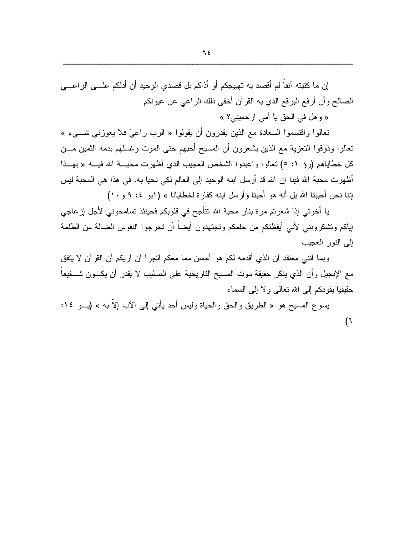إن ما كتبته آنفاً لم أقصد به تهييجكم أو أذاكم بل قصدي الوحيد أن أدلكم علـــى الراعــــى الصالح وأن أرفع البرقع الذي به القرآن أخفى ذلك الراعي عن عيونكم

« وهل في الحق يا أمي ارحميني؟ »

تعالوا واقتسموا السعادة مع الذين يقدرون أن يقولوا « الرب راعيّ فلا يعوزني شـــيء » تعالوا وذوقوا التعزية مع الذين بشعرون أن المسيح أحبهم حتى الموت وغسلهم بدمه الثمين مـــن كل خطاياهم (رؤ ١: ٥) تعالوا واعبدوا الشخص العجيب الذي أظهرت محبـــة الله فيــــه « بهـــذا أظهرت محبة الله فينا إن الله قد أرسل ابنه الوحيد إلى العالم لكي نحيا به. في هذا هي المحبة ليس اِننا نحن أحببنا الله بل أنه هو أحبنا وأرسل ابنه كفارة لخطايانا » ( (بو ٤: ٩ و ١٠)

يا أخوتي إذا شعرتم مرة بنار محبة الله تتأجج في قلوبكم فحينئذ تسامحوني لأجل إز عاجي لياكم وتشكرونني لأني أيقظتكم من حلمكم وتجتهدون أيضاً أن تخرجوا النفوس الضالة من الظلمة إلى النور العجيب

وبما أنني معتقد أن الذي أقدمه لكم هو أحسن مما معكم أتجرأ أن أريكم أن القرآن لا يتفق مع الإنجيل وأن الذي ينكر حقيقة موت المسيح الناريخية على الصليب لا يقدر أن يكـــون شــــفيعاً حقيقياً يقودكم إلى الله نعالمي ولا إلى السماء

يسوع المسيح هو « الطريق والحق والحياة وليس أحد يأتي إلى الآب إلاَّ به » (بـــو ١٤:  $(7)$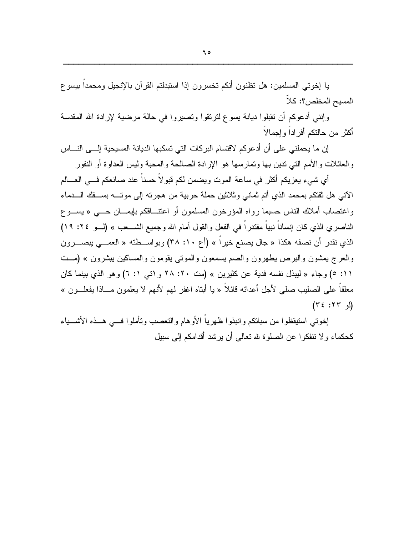يا إخوتي المسلمين: هل نظنون أنكم نخسرون إذا استبدلتم القرآن بالإنجيل ومحمداً بيسوع المسيح المخلص؟: كلا

وإننبي أدعوكم أن نقبلوا ديانة يسوع لنرنقوا ونصيروا في حالة مرضية لإرادة الله المقدسة أكثر من حالنكم أفراداً وإجمالاً

إن ما يحملني على أن أدعوكم لاقتسام البركات التي تسكبها الديانة المسيحية إلـــي النــــاس و العائلات و الأمم التبي ندين بها و نمارسها هو الإر ادة الصالحة و المحبة وليس العداوة أو النفور

أي شيء يعزيكم أكثر في ساعة الموت ويضمن لكم قبولاً حسناً عند صانعكم فـــي العـــالم الآتي هل نقتكم بمحمد الذي أنم ثماني وثلاثين حملة حربية من هجرنه إلى موتـــه بســـفك الــــدماء واغتصاب أملاك الناس حسبما رواه المؤرخون المسلمون أو اعتنـــاقكم بإيمـــان حــــي « يســـو ع الناصر ي الذي كان إنساناً نبياً مقتدراً في الفعل والقول أمام الله وجميع الشـــعب » (لـــو ٢٤: ١٩) الذي نقدر أن نصفه هكذا « جال يصنع خيراً » (أع ١٠: ٣٨) وبواســطته « العمـــي يبصــــرون والعرج بمشون والبرص بطهرون والصم بسمعون والموتبي بقومون والمساكين ببشرون » (مــت ١١: ٥) وجاء « ليبذل نفسه فدية عن كثيرين » (مت ٢٠: ٢٨ و ١تبي ١: ٦) وهو الذي بينما كان معلقاً علـي الصليب صلى لأجل أعدائه قائلاً « يا أبتاه اغفر لمهم لأنهم لا يعلمون مـــاذا يفعلـــون »  $(L, 77:37)$ 

إخوتي استيقظوا من سباتكم وانبذوا ظهرياً الأو هام والتعصب وتأملوا فسي هسذه الأشسباء كحكماء و لا نتفكو ا عن الصلو ة لله تعالى أن ير شد أقدامكم إلى سبيل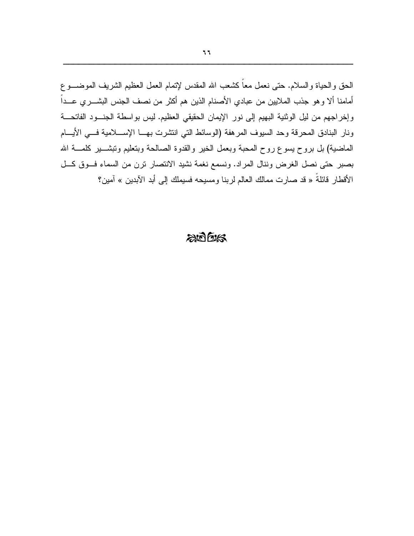الحق و الحياة و السلام. حتى نعمل معاً كشعب الله المقدس لإنمام العمل العظيم الشريف الموضـــوع أمامنا ألا وهو جذب الملايين من عبادي الأصنام الذين هم أكثر من نصف الجنس البشــــري عــــداً وإخراجهم من ليل الوثنية البهيم إلى نور الإيمان الحقيقي العظيم. ليس بواسطة الجنسود الفاتحــة ونار البنادق المحرقة وحد السيوف المرهفة (الوسائط التي انتشرت بهـــا الإســــلامية فــــي الأيــــام الماضية) بل بروح بسوع روح المحبة وبعمل الخير والقدوة الصالحة وبتعليم ونبشـــير كلمــــة الله بصبر حتى نصل الغرض وننال المراد. ونسمع نغمة نشيد الانتصار نرن من السماء فوق كل الأقطار قائلةُ « قد صارت ممالك العالم لربنا ومسيحه فسيملك إلى أبد الآبدين » آمين؟

### $20025$